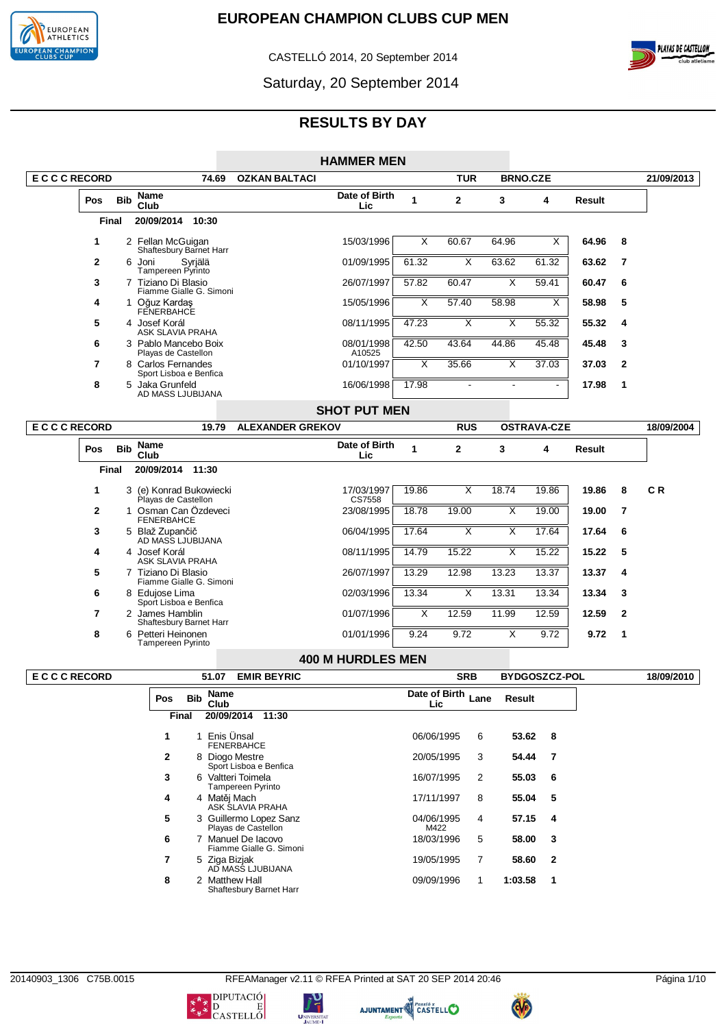

CASTELLÓ 2014, 20 September 2014



Saturday, 20 September 2014

# **RESULTS BY DAY**

|                   |                |              |                                                |                         | <b>HAMMER MEN</b>        |                         |                         |                         |                         |        |                |                |
|-------------------|----------------|--------------|------------------------------------------------|-------------------------|--------------------------|-------------------------|-------------------------|-------------------------|-------------------------|--------|----------------|----------------|
| <b>ECCCRECORD</b> |                |              | 74.69                                          | <b>OZKAN BALTACI</b>    |                          |                         | <b>TUR</b>              |                         | <b>BRNO.CZE</b>         |        |                | 21/09/2013     |
|                   | Pos            | <b>Bib</b>   | Name<br>Club                                   |                         | Date of Birth<br>Lic     | $\blacktriangleleft$    | $\mathbf{2}$            | 3                       | 4                       | Result |                |                |
|                   |                | <b>Final</b> | 20/09/2014<br>10:30                            |                         |                          |                         |                         |                         |                         |        |                |                |
|                   | 1              |              | 2 Fellan McGuigan<br>Shaftesbury Barnet Harr   |                         | 15/03/1996               | X                       | 60.67                   | 64.96                   | $\overline{\mathsf{x}}$ | 64.96  | 8              |                |
|                   | $\mathbf{2}$   |              | 6 Joni<br>Syrjälä<br>Tampereen Pyrinto         |                         | 01/09/1995               | 61.32                   | $\overline{\mathsf{x}}$ | 63.62                   | 61.32                   | 63.62  | $\overline{7}$ |                |
|                   | 3              |              | 7 Tiziano Di Blasio<br>Fiamme Gialle G. Simoni |                         | 26/07/1997               | 57.82                   | 60.47                   | $\overline{\mathsf{x}}$ | 59.41                   | 60.47  | 6              |                |
|                   | 4              |              | 1 Oğuz Kardaş<br>FENERBAHCE                    |                         | 15/05/1996               | $\overline{\mathsf{x}}$ | 57.40                   | 58.98                   | X                       | 58.98  | 5              |                |
|                   | 5              |              | 4 Josef Korál<br>ASK SLAVIA PRAHA              |                         | 08/11/1995               | 47.23                   | X                       | $\overline{\mathsf{x}}$ | 55.32                   | 55.32  | 4              |                |
|                   | 6              |              | 3 Pablo Mancebo Boix<br>Playas de Castellon    |                         | 08/01/1998<br>A10525     | 42.50                   | 43.64                   | 44.86                   | 45.48                   | 45.48  | 3              |                |
|                   | 7              |              | 8 Carlos Fernandes<br>Sport Lisboa e Benfica   |                         | 01/10/1997               | X                       | 35.66                   | $\overline{\mathsf{x}}$ | 37.03                   | 37.03  | $\mathbf{2}$   |                |
|                   | 8              |              | 5 Jaka Grunfeld<br>AD MASS LJUBIJANA           |                         | 16/06/1998               | 17.98                   |                         |                         |                         | 17.98  | 1              |                |
|                   |                |              |                                                |                         | <b>SHOT PUT MEN</b>      |                         |                         |                         |                         |        |                |                |
| <b>ECCCRECORD</b> |                |              | 19.79                                          | <b>ALEXANDER GREKOV</b> |                          |                         | <b>RUS</b>              |                         | <b>OSTRAVA-CZE</b>      |        |                | 18/09/2004     |
|                   | Pos            | <b>Bib</b>   | <b>Name</b><br>Club                            |                         | Date of Birth<br>Lic     | $\mathbf{1}$            | $\mathbf{2}$            | 3                       | 4                       | Result |                |                |
|                   |                | <b>Final</b> | 20/09/2014 11:30                               |                         |                          |                         |                         |                         |                         |        |                |                |
|                   | 1              |              | 3 (e) Konrad Bukowiecki<br>Playas de Castellon |                         | 17/03/1997<br>CS7558     | 19.86                   | X                       | 18.74                   | 19.86                   | 19.86  | 8              | C <sub>R</sub> |
|                   | $\mathbf{2}$   |              | 1 Osman Can Özdeveci<br><b>FENERBAHCE</b>      |                         | 23/08/1995               | 18.78                   | 19.00                   | $\overline{X}$          | 19.00                   | 19.00  | $\overline{7}$ |                |
|                   | 3              |              | 5 Blaž Zupančič<br>AD MASS LJUBIJANA           |                         | 06/04/1995               | 17.64                   | $\overline{\mathsf{x}}$ | $\overline{X}$          | 17.64                   | 17.64  | 6              |                |
|                   | 4              |              | 4 Josef Korál<br><b>ASK SLAVIA PRAHA</b>       |                         | 08/11/1995               | 14.79                   | 15.22                   | X                       | 15.22                   | 15.22  | 5              |                |
|                   | 5              |              | 7 Tiziano Di Blasio<br>Fiamme Gialle G. Simoni |                         | 26/07/1997               | 13.29                   | 12.98                   | 13.23                   | 13.37                   | 13.37  | 4              |                |
|                   | 6              |              | 8 Edujose Lima<br>Sport Lisboa e Benfica       |                         | 02/03/1996               | 13.34                   | X                       | 13.31                   | 13.34                   | 13.34  | 3              |                |
|                   | $\overline{7}$ |              | 2 James Hamblin<br>Shaftesbury Barnet Harr     |                         | 01/07/1996               | $\overline{\mathsf{x}}$ | 12.59                   | 11.99                   | 12.59                   | 12.59  | $\mathbf{2}$   |                |
|                   | 8              |              | 6 Petteri Heinonen<br>Tampereen Pyrinto        |                         | 01/01/1996               | 9.24                    | 9.72                    | $\overline{X}$          | 9.72                    | 9.72   | $\mathbf 1$    |                |
|                   |                |              |                                                |                         | <b>400 M HURDLES MEN</b> |                         |                         |                         |                         |        |                |                |
|                   |                |              |                                                |                         |                          |                         |                         |                         |                         |        |                |                |

**E C C C RECORD 51.07 EMIR BEYRIC SRB BYDGOSZCZ-POL 18/09/2010 Pos Bib Name Club Date of Birth Lic Lane Result Final 20/09/2014 11:30 1** 1 Enis Ünsal FENERBAHCE 06/06/1995 6 **53.62 8 2** 8 Diogo Mestre Sport Lisboa e Benfica 20/05/1995 3 **54.44 7 3** 6 Valtteri Toimela Tampereen Pyrinto 16/07/1995 2 **55.03 6 4** 4 Matěj Mach ASK SLAVIA PRAHA 17/11/1997 8 **55.04 5 5** 3 Guillermo Lopez Sanz Playas de Castellon 04/06/1995 M422 4 **57.15 4 6** 7 Manuel De Iacovo Fiamme Gialle G. Simoni 18/03/1996 5 **58.00 3 7** 5 Ziga Bizjak AD MASS LJUBIJANA 19/05/1995 7 **58.60 2 8** 2 Matthew Hall Shaftesbury Barnet Harr 09/09/1996 1 **1:03.58 1**

20140903\_1306 C75B.0015 RFEAManager v2.11 © RFEA Printed at SAT 20 SEP 2014 20:46 Página 1/10





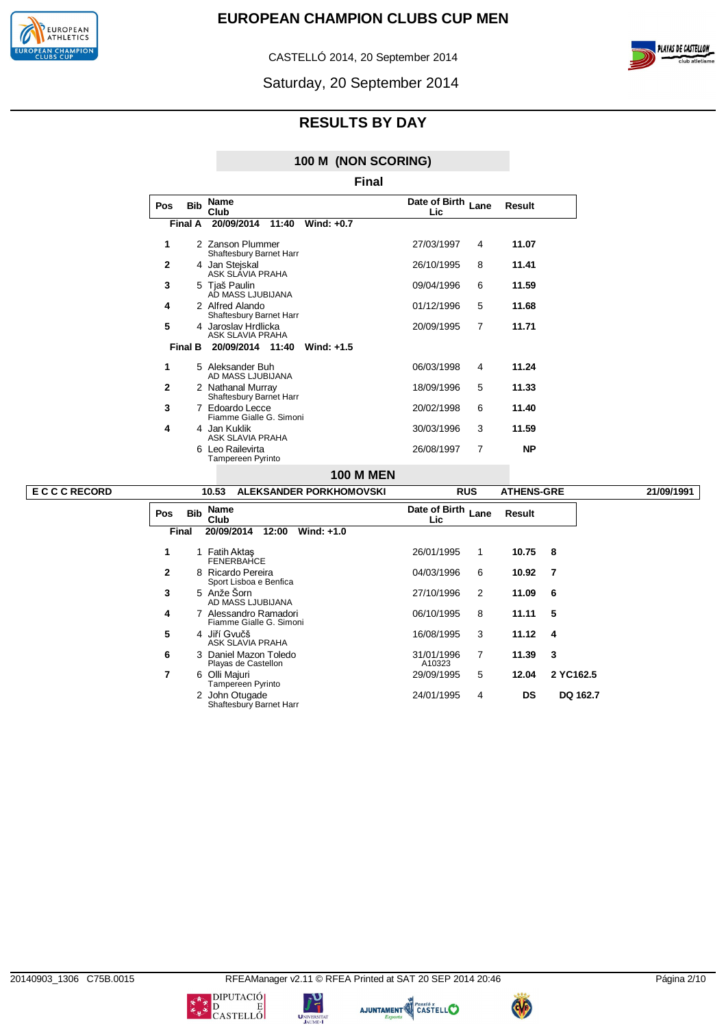



CASTELLÓ 2014, 20 September 2014

Saturday, 20 September 2014

# **RESULTS BY DAY**

### **100 M (NON SCORING)**

|              | Final      |                                                |                      |                |           |  |  |  |  |  |  |  |
|--------------|------------|------------------------------------------------|----------------------|----------------|-----------|--|--|--|--|--|--|--|
| Pos          | <b>Bib</b> | <b>Name</b><br>Club                            | Date of Birth<br>Lic | Lane           | Result    |  |  |  |  |  |  |  |
|              | Final A    | 20/09/2014<br>Wind: +0.7<br>11:40              |                      |                |           |  |  |  |  |  |  |  |
| 1            |            | 2 Zanson Plummer<br>Shaftesbury Barnet Harr    | 27/03/1997           | 4              | 11.07     |  |  |  |  |  |  |  |
| $\mathbf{2}$ |            | 4 Jan Stejskal<br>ASK SLÁVIA PRAHA             | 26/10/1995           | 8              | 11.41     |  |  |  |  |  |  |  |
| 3            |            | 5 Tjaš Paulin<br>AD MASS LJUBIJANA             | 09/04/1996           | 6              | 11.59     |  |  |  |  |  |  |  |
| 4            |            | 2 Alfred Alando<br>Shaftesbury Barnet Harr     | 01/12/1996           | 5              | 11.68     |  |  |  |  |  |  |  |
| 5            |            | 4 Jaroslav Hrdlicka<br><b>ASK SLAVIA PRAHA</b> | 20/09/1995           | $\overline{7}$ | 11.71     |  |  |  |  |  |  |  |
|              | Final B    | 20/09/2014 11:40<br>Wind: $+1.5$               |                      |                |           |  |  |  |  |  |  |  |
| 1            |            | 5 Aleksander Buh<br>AD MASS LJUBIJANA          | 06/03/1998           | 4              | 11.24     |  |  |  |  |  |  |  |
| $\mathbf{2}$ |            | 2 Nathanal Murray<br>Shaftesbury Barnet Harr   | 18/09/1996           | 5              | 11.33     |  |  |  |  |  |  |  |
| 3            |            | 7 Edoardo Lecce<br>Fiamme Gialle G. Simoni     | 20/02/1998           | 6              | 11.40     |  |  |  |  |  |  |  |
| 4            |            | 4 Jan Kuklik<br>ASK SLAVIA PRAHA               | 30/03/1996           | 3              | 11.59     |  |  |  |  |  |  |  |
|              |            | 6 Leo Railevirta<br>Tampereen Pyrinto          | 26/08/1997           | 7              | <b>NP</b> |  |  |  |  |  |  |  |
|              |            |                                                |                      |                |           |  |  |  |  |  |  |  |

# **100 M MEN**

| <b>ECCCRECORD</b> |            | 10.53                      | <b>ALEKSANDER PORKHOMOVSKI</b>                   |                            | <b>RUS</b>     | <b>ATHENS-GRE</b> |           | 21/09/1991 |
|-------------------|------------|----------------------------|--------------------------------------------------|----------------------------|----------------|-------------------|-----------|------------|
|                   | <b>Pos</b> | Name<br><b>Bib</b><br>Club |                                                  | Date of Birth Lane<br>Lic. |                | Result            |           |            |
|                   | Final      | 20/09/2014                 | Wind: $+1.0$<br>12:00                            |                            |                |                   |           |            |
|                   | 1          | 1 Fatih Aktas              | <b>FENERBAHCE</b>                                | 26/01/1995                 | 1              | 10.75 8           |           |            |
|                   | 2          |                            | 8 Ricardo Pereira<br>Sport Lisboa e Benfica      | 04/03/1996                 | 6              | 10.92             | -7        |            |
|                   | 3          | 5 Anže Šorn                | AD MASS LJUBIJANA                                | 27/10/1996                 | 2              | 11.09             | - 6       |            |
|                   | 4          |                            | 7 Alessandro Ramadori<br>Fiamme Gialle G. Simoni | 06/10/1995                 | 8              | 11.11             | 5         |            |
|                   | 5          | 4 Jiří Gvučš               | ASK SLAVIA PRAHA                                 | 16/08/1995                 | 3              | $11.12 \quad 4$   |           |            |
|                   | 6          |                            | 3 Daniel Mazon Toledo<br>Playas de Castellon     | 31/01/1996<br>A10323       | $\overline{7}$ | 11.39             | -3        |            |
|                   | 7          | 6 Olli Majuri              | Tampereen Pyrinto                                | 29/09/1995                 | 5              | 12.04             | 2 YC162.5 |            |
|                   |            |                            | 2 John Otugade<br>Shaftesbury Barnet Harr        | 24/01/1995                 | 4              | <b>DS</b>         | DQ 162.7  |            |





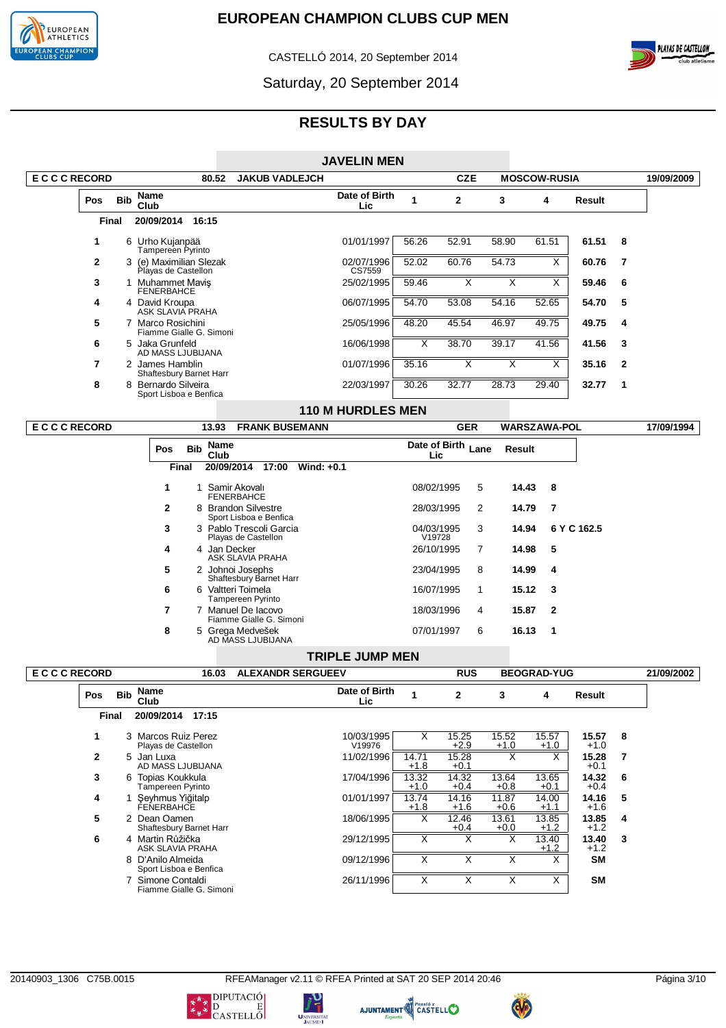

CASTELLÓ 2014, 20 September 2014



Saturday, 20 September 2014

# **RESULTS BY DAY**

|                   |                |            |                                                |            |                     |                                                |              | <b>JAVELIN MEN</b>       |                      |                         |                         |                        |                         |               |                |            |
|-------------------|----------------|------------|------------------------------------------------|------------|---------------------|------------------------------------------------|--------------|--------------------------|----------------------|-------------------------|-------------------------|------------------------|-------------------------|---------------|----------------|------------|
| <b>ECCCRECORD</b> |                |            |                                                |            | 80.52               | <b>JAKUB VADLEJCH</b>                          |              |                          |                      | <b>CZE</b>              |                         | <b>MOSCOW-RUSIA</b>    |                         |               |                | 19/09/2009 |
|                   | <b>Pos</b>     | <b>Bib</b> | <b>Name</b><br>Club                            |            |                     |                                                |              | Date of Birth<br>Lic     | 1                    | $\overline{2}$          | 3                       | 4                      |                         | Result        |                |            |
|                   | Final          |            | 20/09/2014 16:15                               |            |                     |                                                |              |                          |                      |                         |                         |                        |                         |               |                |            |
|                   | $\mathbf 1$    |            | 6 Urho Kujanpää<br>Tampereen Pyrinto           |            |                     |                                                |              | 01/01/1997               | 56.26                | 52.91                   | 58.90                   | 61.51                  |                         | 61.51         | 8              |            |
|                   | $\overline{2}$ |            | 3 (e) Maximilian Slezak<br>Playas de Castellon |            |                     |                                                |              | 02/07/1996<br>CS7559     | 52.02                | 60.76                   | 54.73                   |                        | $\overline{\mathsf{x}}$ | 60.76         | $\overline{7}$ |            |
|                   | 3              |            | 1 Muhammet Mavis<br><b>FENERBAHCE</b>          |            |                     |                                                |              | 25/02/1995               | 59.46                | X                       | $\overline{\mathsf{x}}$ |                        | $\overline{\mathsf{x}}$ | 59.46         | 6              |            |
|                   | 4              |            | 4 David Kroupa<br>ASK SLAVIA PRAHA             |            |                     |                                                |              | 06/07/1995               | 54.70                | 53.08                   | 54.16                   | 52.65                  |                         | 54.70         | 5              |            |
|                   | 5              |            | 7 Marco Rosichini<br>Fiamme Gialle G. Simoni   |            |                     |                                                |              | 25/05/1996               | 48.20                | 45.54                   | 46.97                   | 49.75                  |                         | 49.75         | 4              |            |
|                   | 6              |            | 5 Jaka Grunfeld<br>AD MASS LJUBIJANA           |            |                     |                                                |              | 16/06/1998               | X                    | 38.70                   | 39.17                   | 41.56                  |                         | 41.56         | 3              |            |
|                   | $\overline{7}$ |            | 2 James Hamblin                                |            |                     |                                                |              | 01/07/1996               | 35.16                | $\overline{\mathsf{x}}$ | $\overline{\mathsf{x}}$ |                        | X                       | 35.16         | $\mathbf{2}$   |            |
|                   | 8              |            | Shaftesbury Barnet Harr<br>8 Bernardo Silveira |            |                     |                                                |              | 22/03/1997               | 30.26                | 32.77                   | 28.73                   | 29.40                  |                         | 32.77         | 1              |            |
|                   |                |            | Sport Lisboa e Benfica                         |            |                     |                                                |              | <b>110 M HURDLES MEN</b> |                      |                         |                         |                        |                         |               |                |            |
| <b>ECCCRECORD</b> |                |            |                                                |            | 13.93               | <b>FRANK BUSEMANN</b>                          |              |                          |                      | <b>GER</b>              |                         | <b>WARSZAWA-POL</b>    |                         |               |                | 17/09/1994 |
|                   |                |            | Pos                                            | <b>Bib</b> | <b>Name</b><br>Club |                                                |              |                          | Lic                  | Date of Birth           | Lane                    | Result                 |                         |               |                |            |
|                   |                |            |                                                | Final      |                     | 20/09/2014 17:00                               | Wind: $+0.1$ |                          |                      |                         |                         |                        |                         |               |                |            |
|                   |                |            | 1                                              |            |                     | 1 Samir Akovalı<br><b>FENERBAHCE</b>           |              |                          | 08/02/1995           |                         | 5                       | 14.43                  | 8                       |               |                |            |
|                   |                |            | $\mathbf{2}$                                   |            |                     | 8 Brandon Silvestre<br>Sport Lisboa e Benfica  |              |                          | 28/03/1995           |                         | $\overline{2}$          | 14.79                  | $\overline{7}$          |               |                |            |
|                   |                |            | 3                                              |            |                     | 3 Pablo Trescoli Garcia<br>Playas de Castellon |              |                          | 04/03/1995<br>V19728 |                         | 3                       | 14.94                  |                         | 6 Y C 162.5   |                |            |
|                   |                |            | 4                                              |            | 4 Jan Decker        | <b>ASK SLAVIA PRAHA</b>                        |              |                          | 26/10/1995           |                         | $\overline{7}$          | 14.98                  | 5                       |               |                |            |
|                   |                |            | 5                                              |            |                     | 2 Johnoi Josephs<br>Shaftesbury Barnet Harr    |              |                          | 23/04/1995           |                         | 8                       | 14.99                  | 4                       |               |                |            |
|                   |                |            | 6                                              |            |                     | 6 Valtteri Toimela<br>Tampereen Pyrinto        |              |                          | 16/07/1995           | $\mathbf{1}$            |                         | 15.12                  | 3                       |               |                |            |
|                   |                |            | 7                                              |            |                     | 7 Manuel De Iacovo<br>Fiamme Gialle G. Simoni  |              |                          | 18/03/1996           |                         | 4                       | 15.87                  | $\mathbf{2}$            |               |                |            |
|                   |                |            | 8                                              |            |                     | 5 Grega Medvešek<br>AD MASS LJUBIJANA          |              |                          | 07/01/1997           |                         | 6                       | 16.13                  | 1                       |               |                |            |
|                   |                |            |                                                |            |                     |                                                |              | <b>TRIPLE JUMP MEN</b>   |                      |                         |                         |                        |                         |               |                |            |
| <b>ECCCRECORD</b> |                |            |                                                |            | 16.03               | <b>ALEXANDR SERGUEEV</b>                       |              |                          |                      | <b>RUS</b>              |                         | <b>BEOGRAD-YUG</b>     |                         |               |                | 21/09/2002 |
|                   | <b>Pos</b>     | <b>Rih</b> | <b>Name</b>                                    |            |                     |                                                |              | Date of Birth            | 1                    | C                       | ?                       | $\boldsymbol{\Lambda}$ |                         | <b>Regult</b> |                |            |

| <b>Bib</b><br><b>Pos</b> | Name<br>Club                                | Date of Birth<br>Lic. | 1               | $\mathbf{2}$    | 3               | 4                 | Result          |   |
|--------------------------|---------------------------------------------|-----------------------|-----------------|-----------------|-----------------|-------------------|-----------------|---|
| Final                    | 20/09/2014<br>17:15                         |                       |                 |                 |                 |                   |                 |   |
|                          | 3 Marcos Ruiz Perez<br>Playas de Castellon  | 10/03/1995<br>V19976  | X               | 15.25<br>$+2.9$ | 15.52<br>$+1.0$ | 15.57<br>$+1.0$   | 15.57<br>$+1.0$ | 8 |
| $\mathbf{2}$             | 5 Jan Luxa<br>AD MASS LJUBIJANA             | 11/02/1996            | 14.71<br>$+1.8$ | 15.28<br>$+0.1$ | X               | $\checkmark$<br>⋏ | 15.28<br>$+0.1$ | 7 |
| 3                        | 6 Topias Koukkula<br>Tampereen Pyrinto      | 17/04/1996            | 13.32<br>$+1.0$ | 14.32<br>$+0.4$ | 13.64<br>$+0.8$ | 13.65<br>$+0.1$   | 14.32<br>$+0.4$ | 6 |
| 4                        | Şeyhmus Yiğitalp<br>FENERBAHCE              | 01/01/1997            | 13.74<br>$+1.8$ | 14.16<br>$+1.6$ | 11.87<br>$+0.6$ | 14.00<br>$+1.1$   | 14.16<br>$+1.6$ | 5 |
| 5                        | 2 Dean Oamen<br>Shaftesbury Barnet Harr     | 18/06/1995            | X               | 12.46<br>$+0.4$ | 13.61<br>$+0.0$ | 13.85<br>$+1.2$   | 13.85<br>$+1.2$ | 4 |
| 6                        | 4 Martin Růžička<br>ASK SLAVIA PRAHA        | 29/12/1995            | X               | X               | X               | 13.40<br>$+1.2$   | 13.40<br>$+1.2$ | 3 |
|                          | 8 D'Anilo Almeida<br>Sport Lisboa e Benfica | 09/12/1996            |                 |                 |                 |                   | <b>SM</b>       |   |
|                          | Simone Contaldi<br>Fiamme Gialle G. Simoni  | 26/11/1996            | Х               |                 |                 |                   | <b>SM</b>       |   |

טי<br>ד

UNIVERSIT





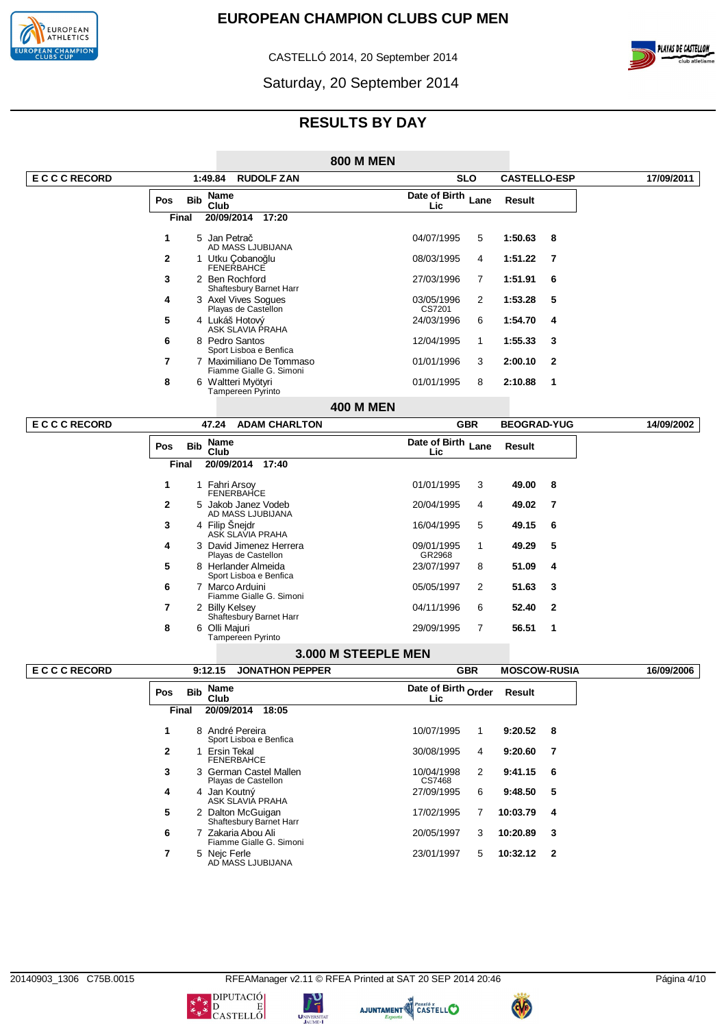

CASTELLÓ 2014, 20 September 2014



Saturday, 20 September 2014

|                   |                |              |                                                                      |                                                     | <b>800 M MEN</b>    |                            |                |                     |              |            |
|-------------------|----------------|--------------|----------------------------------------------------------------------|-----------------------------------------------------|---------------------|----------------------------|----------------|---------------------|--------------|------------|
| <b>ECCCRECORD</b> |                |              | 1:49.84                                                              | <b>RUDOLF ZAN</b>                                   |                     |                            | <b>SLO</b>     | <b>CASTELLO-ESP</b> |              | 17/09/2011 |
|                   | Pos            | <b>Bib</b>   | Name<br>Club                                                         |                                                     |                     | Date of Birth Lane<br>Lic  |                | <b>Result</b>       |              |            |
|                   |                | Final        | 20/09/2014                                                           | 17:20                                               |                     |                            |                |                     |              |            |
|                   | 1              |              | 5 Jan Petrač                                                         |                                                     |                     | 04/07/1995                 | 5              | 1:50.63             | 8            |            |
|                   | 2              |              | AD MASS LJUBIJANA<br>1 Utku Çobanoğlu                                |                                                     |                     | 08/03/1995                 | 4              | 1:51.22             | 7            |            |
|                   | 3              |              | FENERBAHCE<br>2 Ben Rochford                                         |                                                     |                     | 27/03/1996                 | 7              | 1:51.91             | 6            |            |
|                   | 4              |              | Shaftesbury Barnet Harr<br>3 Axel Vives Sogues                       |                                                     |                     | 03/05/1996                 | 2              | 1:53.28             | 5            |            |
|                   | 5              |              | Playas de Castellon<br>4 Lukáš Hotový                                |                                                     |                     | CS7201<br>24/03/1996       | 6              | 1:54.70             | 4            |            |
|                   |                |              | ASK SLAVIA PRAHA                                                     |                                                     |                     |                            |                |                     |              |            |
|                   | 6              |              | 8 Pedro Santos<br>Sport Lisboa e Benfica                             |                                                     |                     | 12/04/1995                 | $\mathbf{1}$   | 1:55.33             | 3            |            |
|                   | 7              |              |                                                                      | 7 Maximiliano De Tommaso<br>Fiamme Gialle G. Simoni |                     | 01/01/1996                 | 3              | 2:00.10             | 2            |            |
|                   | 8              |              | 6 Waltteri Myötyri<br>Tampereen Pyrinto                              |                                                     |                     | 01/01/1995                 | 8              | 2:10.88             | 1            |            |
|                   |                |              |                                                                      |                                                     | <b>400 M MEN</b>    |                            |                |                     |              |            |
| <b>ECCCRECORD</b> |                |              | 47.24                                                                | <b>ADAM CHARLTON</b>                                |                     |                            | <b>GBR</b>     | <b>BEOGRAD-YUG</b>  |              | 14/09/2002 |
|                   | Pos            | <b>Bib</b>   | Name<br>Club                                                         |                                                     |                     | Date of Birth<br>Lic       | Lane           | Result              |              |            |
|                   |                | Final        | 20/09/2014 17:40                                                     |                                                     |                     |                            |                |                     |              |            |
|                   | 1              |              | 1 Fahri Arsoy                                                        |                                                     |                     | 01/01/1995                 | 3              | 49.00               | 8            |            |
|                   | 2              |              | FENERBAHCE<br>5 Jakob Janez Vodeb<br>AD MASS LJUBIJANA               |                                                     |                     | 20/04/1995                 | 4              | 49.02               | 7            |            |
|                   | 3              |              | 4 Filip Sneidr<br>ASK SLAVIA PRAHA                                   |                                                     |                     | 16/04/1995                 | 5              | 49.15               | 6            |            |
|                   | 4              |              | 3 David Jimenez Herrera                                              |                                                     |                     | 09/01/1995                 | $\mathbf{1}$   | 49.29               | 5            |            |
|                   | 5              |              | Playas de Castellon<br>8 Herlander Almeida<br>Sport Lisboa e Benfica |                                                     |                     | GR2968<br>23/07/1997       | 8              | 51.09               | 4            |            |
|                   | 6              |              | 7 Marco Arduini                                                      | Fiamme Gialle G. Simoni                             |                     | 05/05/1997                 | 2              | 51.63               | 3            |            |
|                   | 7              |              | 2 Billy Kelsey<br>Shaftesbury Barnet Harr                            |                                                     |                     | 04/11/1996                 | 6              | 52.40               | $\mathbf{2}$ |            |
|                   | 8              |              | 6 Olli Majuri<br>Tampereen Pyrinto                                   |                                                     |                     | 29/09/1995                 | 7              | 56.51               | 1            |            |
|                   |                |              |                                                                      |                                                     | 3.000 M STEEPLE MEN |                            |                |                     |              |            |
| <b>ECCCRECORD</b> |                |              | 9:12.15                                                              | <b>JONATHON PEPPER</b>                              |                     |                            | <b>GBR</b>     | <b>MOSCOW-RUSIA</b> |              | 16/09/2006 |
|                   | Pos            | <b>Bib</b>   | <b>Name</b><br>Club                                                  |                                                     |                     | Date of Birth Order<br>Lic |                | <b>Result</b>       |              |            |
|                   |                | <b>Final</b> | 20/09/2014 18:05                                                     |                                                     |                     |                            |                |                     |              |            |
|                   | $\mathbf{1}$   |              | 8 André Pereira<br>Sport Lisboa e Benfica                            |                                                     |                     | 10/07/1995                 | $\mathbf{1}$   | 9:20.52             | 8            |            |
|                   | $\mathbf{2}$   |              | 1 Ersin Tekal<br><b>FENERBAHCE</b>                                   |                                                     |                     | 30/08/1995                 | 4              | 9:20.60             | 7            |            |
|                   | 3              |              | 3 German Castel Mallen<br>Playas de Castellon                        |                                                     |                     | 10/04/1998<br>CS7468       | $\overline{2}$ | 9:41.15             | 6            |            |
|                   | 4              |              | 4 Jan Koutný<br>ASK SLAVIA PRAHA                                     |                                                     |                     | 27/09/1995                 | 6              | 9:48.50             | 5            |            |
|                   | 5              |              | 2 Dalton McGuigan<br>Shaftesbury Barnet Harr                         |                                                     |                     | 17/02/1995                 | 7              | 10:03.79            | 4            |            |
|                   | 6              |              | 7 Zakaria Abou Ali                                                   | Fiamme Gialle G. Simoni                             |                     | 20/05/1997                 | 3              | 10:20.89            | 3            |            |
|                   | $\overline{7}$ |              | 5 Neic Ferle<br>AD MASS LJUBIJANA                                    |                                                     |                     | 23/01/1997                 | 5              | 10:32.12            | $\mathbf{2}$ |            |







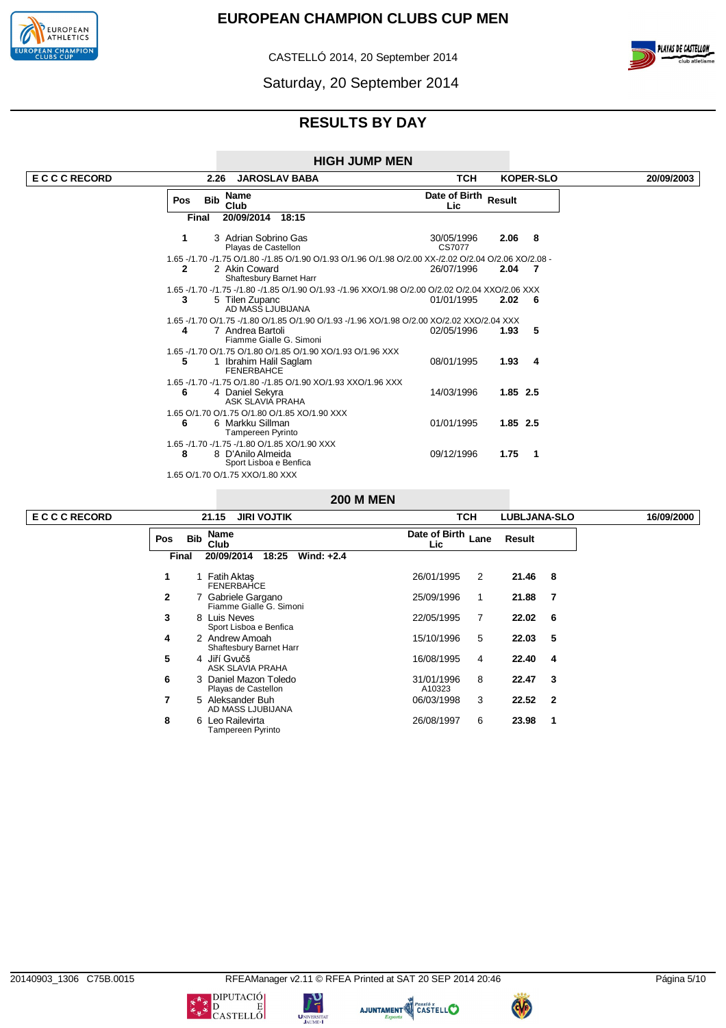

CASTELLÓ 2014, 20 September 2014





**RESULTS BY DAY**

| <b>HIGH JUMP MEN</b> |
|----------------------|
|----------------------|

| <b>ECCCRECORD</b> |              | 2.26       | <b>JAROSLAV BABA</b>                                                                                                                             | тсн                         |             | <b>KOPER-SLO</b> | 20/09/2003 |
|-------------------|--------------|------------|--------------------------------------------------------------------------------------------------------------------------------------------------|-----------------------------|-------------|------------------|------------|
|                   | <b>Pos</b>   | <b>Bib</b> | Name<br>Club                                                                                                                                     | Date of Birth Result<br>Lic |             |                  |            |
|                   |              | Final      | 20/09/2014<br>18:15                                                                                                                              |                             |             |                  |            |
|                   |              |            | 3 Adrian Sobrino Gas<br>Playas de Castellon                                                                                                      | 30/05/1996<br>CS7077        | $2.06$ 8    |                  |            |
|                   | $\mathbf{2}$ |            | 1.65 -/1.70 -/1.75 O/1.80 -/1.85 O/1.90 O/1.93 O/1.96 O/1.98 O/2.00 XX-/2.02 O/2.04 O/2.06 XO/2.08 -<br>2 Akin Coward<br>Shaftesbury Barnet Harr | 26/07/1996                  | $2.04$ 7    |                  |            |
|                   | 3            |            | 1.65 -/1.70 -/1.75 -/1.80 -/1.85 O/1.90 O/1.93 -/1.96 XXO/1.98 O/2.00 O/2.02 O/2.04 XXO/2.06 XXX<br>5 Tilen Zupanc<br>AD MASS LJUBIJANA          | 01/01/1995                  | $2.02 \t 6$ |                  |            |
|                   | 4            |            | 1.65 -/1.70 O/1.75 -/1.80 O/1.85 O/1.90 O/1.93 -/1.96 XO/1.98 O/2.00 XO/2.02 XXO/2.04 XXX<br>7 Andrea Bartoli<br>Fiamme Gialle G. Simoni         | 02/05/1996                  | 1.93        | -5               |            |
|                   | 5            |            | 1.65 -/1.70 O/1.75 O/1.80 O/1.85 O/1.90 XO/1.93 O/1.96 XXX<br>Ibrahim Halil Saglam<br><b>FENERBAHCE</b>                                          | 08/01/1995                  | 1.93        | $\overline{4}$   |            |
|                   | 6            |            | 1.65 -/1.70 -/1.75 O/1.80 -/1.85 O/1.90 XO/1.93 XXO/1.96 XXX<br>4 Daniel Sekyra<br>ASK SLAVIA PRAHA                                              | 14/03/1996                  | $1.85$ 2.5  |                  |            |
|                   | 6            |            | 1.65 O/1.70 O/1.75 O/1.80 O/1.85 XO/1.90 XXX<br>6 Markku Sillman<br><b>Tampereen Pyrinto</b>                                                     | 01/01/1995                  | 1.85 2.5    |                  |            |
|                   | 8            |            | 1.65 -/1.70 -/1.75 -/1.80 O/1.85 XO/1.90 XXX<br>8 D'Anilo Almeida<br>Sport Lisboa e Benfica                                                      | 09/12/1996                  | 1.75        | 1                |            |
|                   |              |            | 1.65 O/1.70 O/1.75 XXO/1.80 XXX                                                                                                                  |                             |             |                  |            |

### **200 M MEN**

|              | <b>JIRI VOJTIK</b><br>21.15                   | <b>TCH</b>                   | <b>LUBLJANA-SLO</b>              |  |  |  |  |
|--------------|-----------------------------------------------|------------------------------|----------------------------------|--|--|--|--|
| <b>Pos</b>   | <b>Name</b><br><b>Bib</b><br>Club             | Date of Birth<br>Lane<br>Lic | Result                           |  |  |  |  |
| Final        | 20/09/2014<br>Wind: $+2.4$<br>18:25           |                              |                                  |  |  |  |  |
| 1            | 1 Fatih Aktas<br><b>FENERBAHCE</b>            | 26/01/1995<br>2              | 21.46<br>-8                      |  |  |  |  |
| $\mathbf{2}$ | 7 Gabriele Gargano<br>Fiamme Gialle G. Simoni | 25/09/1996<br>1              | 21.88<br>- 7                     |  |  |  |  |
| 3            | 8 Luis Neves<br>Sport Lisboa e Benfica        | 7<br>22/05/1995              | 6<br>22.02                       |  |  |  |  |
| 4            | 2 Andrew Amoah<br>Shaftesbury Barnet Harr     | 5<br>15/10/1996              | 5<br>22.03                       |  |  |  |  |
| 5            | 4 Jiří Gvučš<br>ASK SLAVIA PRAHA              | 16/08/1995<br>4              | 22.40<br>4                       |  |  |  |  |
| 6            | 3 Daniel Mazon Toledo<br>Playas de Castellon  | 8<br>31/01/1996<br>A10323    | 3<br>22.47                       |  |  |  |  |
| 7            | 5 Aleksander Buh<br>AD MASS LJUBIJANA         | 3<br>06/03/1998              | 22.52<br>$\overline{\mathbf{2}}$ |  |  |  |  |
| 8            | 6 Leo Railevirta<br>Tampereen Pyrinto         | 6<br>26/08/1997              | 23.98<br>1                       |  |  |  |  |

 $\overline{ECCCRECOR$ 

**UNIVERSIT.** 





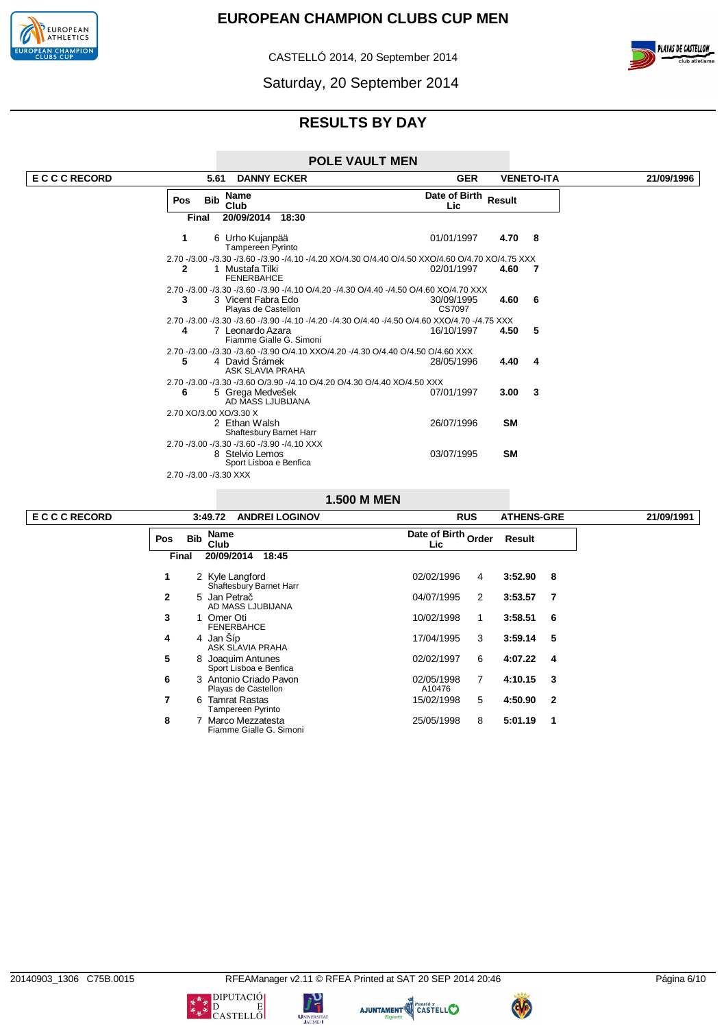

CASTELLÓ 2014, 20 September 2014



# **RESULTS BY DAY**

### **POLE VAULT MEN**

| <b>ECCCRECORD</b> | 5.61<br><b>DANNY ECKER</b>                                                                                                                         | <b>GER</b><br><b>VENETO-ITA</b>                                                                  | 21/09/1996 |
|-------------------|----------------------------------------------------------------------------------------------------------------------------------------------------|--------------------------------------------------------------------------------------------------|------------|
|                   | Name<br><b>Bib</b><br>Pos<br>Club                                                                                                                  | Date of Birth Result<br>Lic                                                                      |            |
|                   | 20/09/2014<br>18:30<br>Final                                                                                                                       |                                                                                                  |            |
|                   | 6 Urho Kujanpää<br>1<br><b>Tampereen Pyrinto</b>                                                                                                   | 4.70 8<br>01/01/1997                                                                             |            |
|                   |                                                                                                                                                    | 2.70 -/3.00 -/3.30 -/3.60 -/3.90 -/4.10 -/4.20 XO/4.30 O/4.40 O/4.50 XXO/4.60 O/4.70 XO/4.75 XXX |            |
|                   | 2<br>1 Mustafa Tilki<br><b>FENERBAHCE</b>                                                                                                          | 02/01/1997<br>4.60<br>$\overline{7}$                                                             |            |
|                   | 2.70 -/3.00 -/3.30 -/3.60 -/3.90 -/4.10 O/4.20 -/4.30 O/4.40 -/4.50 O/4.60 XO/4.70 XXX                                                             |                                                                                                  |            |
|                   | 3<br>3 Vicent Fabra Edo<br>Playas de Castellon                                                                                                     | $4.60\t6$<br>30/09/1995<br>CS7097                                                                |            |
|                   | 2.70 -/3.00 -/3.30 -/3.60 -/3.90 -/4.10 -/4.20 -/4.30 O/4.40 -/4.50 O/4.60 XXO/4.70 -/4.75 XXX<br>7 Leonardo Azara<br>4<br>Fiamme Gialle G. Simoni | 4.50<br>-5<br>16/10/1997                                                                         |            |
|                   | 2.70 -/3.00 -/3.30 -/3.60 -/3.90 O/4.10 XXO/4.20 -/4.30 O/4.40 O/4.50 O/4.60 XXX<br>4 David Srámek<br>5<br>ASK SLAVIA PRAHA                        | 4.40<br>28/05/1996<br>4                                                                          |            |
|                   | 2.70 -/3.00 -/3.30 -/3.60 O/3.90 -/4.10 O/4.20 O/4.30 O/4.40 XO/4.50 XXX                                                                           |                                                                                                  |            |
|                   | 5 Grega Medvešek<br>6<br>AD MASS LJUBIJANA                                                                                                         | 07/01/1997<br>3.00<br>- 3                                                                        |            |
|                   | 2.70 XO/3.00 XO/3.30 X                                                                                                                             |                                                                                                  |            |
|                   | 2 Ethan Walsh<br>Shaftesbury Barnet Harr                                                                                                           | <b>SM</b><br>26/07/1996                                                                          |            |
|                   | 2.70 -/3.00 -/3.30 -/3.60 -/3.90 -/4.10 XXX<br>8 Stelvio Lemos<br>Sport Lisboa e Benfica                                                           | <b>SM</b><br>03/07/1995                                                                          |            |
|                   | 2.70 -/3.00 -/3.30 XXX                                                                                                                             |                                                                                                  |            |

## **1.500 M MEN**

|              |            | 3:49.72<br><b>ANDREI LOGINOV</b>              | <b>RUS</b>                 | <b>ATHENS-GRE</b> |              | 21/09/1991 |
|--------------|------------|-----------------------------------------------|----------------------------|-------------------|--------------|------------|
| <b>Pos</b>   | <b>Bib</b> | <b>Name</b><br>Club                           | Date of Birth Order<br>Lic | Result            |              |            |
| Final        |            | 20/09/2014<br>18:45                           |                            |                   |              |            |
| 1            |            | 2 Kyle Langford<br>Shaftesbury Barnet Harr    | 02/02/1996<br>4            | 3:52.90           | 8            |            |
| $\mathbf{2}$ |            | 5 Jan Petrač<br>AD MASS LJUBIJANA             | 04/07/1995<br>2            | 3:53.57           | 7            |            |
| 3            |            | Omer Oti<br><b>FENERBAHCE</b>                 | 10/02/1998<br>1            | 3:58.51           | 6            |            |
| 4            |            | 4 Jan Síp<br>ASK SLAVIA PRAHA                 | 17/04/1995<br>3            | 3:59.14           | 5            |            |
| 5            | 8          | Joaquim Antunes<br>Sport Lisboa e Benfica     | 02/02/1997<br>6            | 4:07.22           | 4            |            |
| 6            |            | 3 Antonio Criado Pavon<br>Playas de Castellon | 7<br>02/05/1998<br>A10476  | 4:10.15           | 3            |            |
| 7            | 6.         | <b>Tamrat Rastas</b><br>Tampereen Pyrinto     | 15/02/1998<br>5            | 4:50.90           | $\mathbf{2}$ |            |
| 8            |            | Marco Mezzatesta<br>Fiamme Gialle G. Simoni   | 25/05/1998<br>8            | 5:01.19           | -1           |            |

 $\overline{ECCCRECOR$ 

**UNIVERSIT.** 

AJUNTAMENT CASTELLO

C

 $\begin{picture}(180,10) \put(0,0){\line(1,0){15}} \put(10,0){\line(1,0){15}} \put(10,0){\line(1,0){15}} \put(10,0){\line(1,0){15}} \put(10,0){\line(1,0){15}} \put(10,0){\line(1,0){15}} \put(10,0){\line(1,0){15}} \put(10,0){\line(1,0){15}} \put(10,0){\line(1,0){15}} \put(10,0){\line(1,0){15}} \put(10,0){\line(1,0){15}} \put(10,0){\line($ 

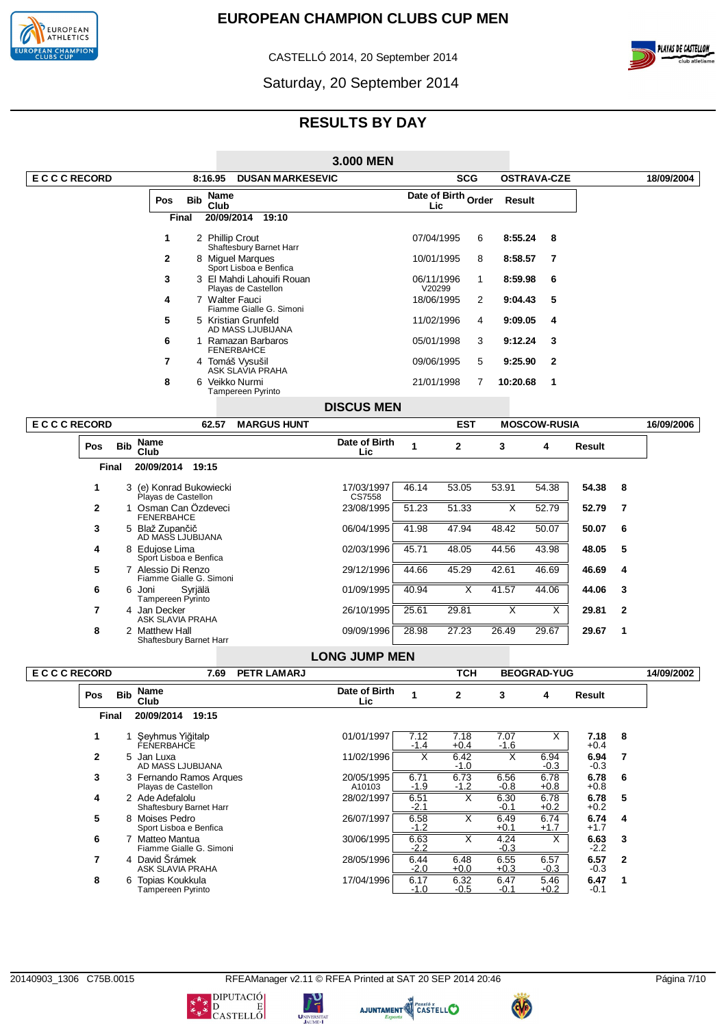

CASTELLÓ 2014, 20 September 2014



Saturday, 20 September 2014

# **RESULTS BY DAY**

|                   |              |            |                                               |                            |                                                  | 3.000 MEN            |                      |                         |                         |                     |                |                |            |
|-------------------|--------------|------------|-----------------------------------------------|----------------------------|--------------------------------------------------|----------------------|----------------------|-------------------------|-------------------------|---------------------|----------------|----------------|------------|
| <b>ECCCRECORD</b> |              |            |                                               | 8:16.95                    | <b>DUSAN MARKESEVIC</b>                          |                      |                      | SCG                     |                         | <b>OSTRAVA-CZE</b>  |                |                | 18/09/2004 |
|                   |              |            | Pos                                           | Name<br><b>Bib</b><br>Club |                                                  |                      | Lic                  | Date of Birth Order     | <b>Result</b>           |                     |                |                |            |
|                   |              |            | <b>Final</b>                                  |                            | 20/09/2014 19:10                                 |                      |                      |                         |                         |                     |                |                |            |
|                   |              |            | 1                                             | 2 Phillip Crout            | Shaftesbury Barnet Harr                          |                      | 07/04/1995           | 6                       | 8:55.24                 | 8                   |                |                |            |
|                   |              |            | 2                                             |                            | 8 Miguel Margues<br>Sport Lisboa e Benfica       |                      | 10/01/1995           | 8                       | 8:58.57                 | 7                   |                |                |            |
|                   |              |            | 3                                             |                            | 3 El Mahdi Lahouifi Rouan<br>Playas de Castellon |                      | 06/11/1996<br>V20299 | 1                       | 8:59.98                 | 6                   |                |                |            |
|                   |              |            | 4                                             | 7 Walter Fauci             | Fiamme Gialle G. Simoni                          |                      | 18/06/1995           | 2                       | 9:04.43                 | 5                   |                |                |            |
|                   |              |            | 5                                             |                            | 5 Kristian Grunfeld<br>AD MASS LJUBIJANA         |                      | 11/02/1996           | 4                       | 9:09.05                 | 4                   |                |                |            |
|                   |              |            | 6                                             |                            | 1 Ramazan Barbaros<br><b>FENERBAHCE</b>          |                      | 05/01/1998           | 3                       | 9:12.24                 | 3                   |                |                |            |
|                   |              |            | 7                                             |                            | 4 Tomáš Vysušil<br>ASK SLAVIA PRAHA              |                      | 09/06/1995           | 5                       | 9:25.90                 | $\mathbf{2}$        |                |                |            |
|                   |              |            | 8                                             | 6 Veikko Nurmi             | Tampereen Pyrinto                                |                      | 21/01/1998           | 7                       | 10:20.68                | 1                   |                |                |            |
|                   |              |            |                                               |                            |                                                  | <b>DISCUS MEN</b>    |                      |                         |                         |                     |                |                |            |
| <b>ECCCRECORD</b> |              |            |                                               | 62.57                      | <b>MARGUS HUNT</b>                               |                      |                      | <b>EST</b>              |                         | <b>MOSCOW-RUSIA</b> |                |                | 16/09/2006 |
|                   | Pos          | <b>Bib</b> | Name<br>Club                                  |                            |                                                  | Date of Birth<br>Lic | 1                    | $\mathbf{2}$            | 3                       | 4                   | Result         |                |            |
|                   | Final        |            | 20/09/2014 19:15                              |                            |                                                  |                      |                      |                         |                         |                     |                |                |            |
|                   | 1.           |            | Playas de Castellon                           | 3 (e) Konrad Bukowiecki    |                                                  | 17/03/1997<br>CS7558 | 46.14                | 53.05                   | 53.91                   | 54.38               | 54.38          | 8              |            |
|                   | 2            |            | <b>FENERBAHCE</b>                             | 1 Osman Can Ozdeveci       |                                                  | 23/08/1995           | 51.23                | 51.33                   | Χ                       | 52.79               | 52.79          | $\overline{7}$ |            |
|                   | 3            |            | 5 Blaž Zupančič<br>AD MASS LJUBIJANA          |                            |                                                  | 06/04/1995           | 41.98                | 47.94                   | 48.42                   | 50.07               | 50.07          | 6              |            |
|                   | 4            |            | 8 Edujose Lima<br>Sport Lisboa e Benfica      |                            |                                                  | 02/03/1996           | 45.71                | 48.05                   | 44.56                   | 43.98               | 48.05          | 5              |            |
|                   | 5            |            | 7 Alessio Di Renzo                            | Fiamme Gialle G. Simoni    |                                                  | 29/12/1996           | 44.66                | 45.29                   | 42.61                   | 46.69               | 46.69          | 4              |            |
|                   | 6            |            | 6 Joni<br>Tampereen Pyrinto                   | Syriälä                    |                                                  | 01/09/1995           | 40.94                | Х                       | 41.57                   | 44.06               | 44.06          | 3              |            |
|                   | 7            |            | 4 Jan Decker<br>ASK SLAVIA PRAHA              |                            |                                                  | 26/10/1995           | 25.61                | 29.81                   | $\overline{\mathsf{x}}$ | Χ                   | 29.81          | $\mathbf{2}$   |            |
|                   | 8            |            | 2 Matthew Hall                                | Shaftesbury Barnet Harr    |                                                  | 09/09/1996           | 28.98                | 27.23                   | 26.49                   | 29.67               | 29.67          | 1              |            |
|                   |              |            |                                               |                            |                                                  | <b>LONG JUMP MEN</b> |                      |                         |                         |                     |                |                |            |
| <b>ECCCRECORD</b> |              |            |                                               | 7.69                       | <b>PETR LAMARJ</b>                               |                      |                      | TCH                     |                         | <b>BEOGRAD-YUG</b>  |                |                | 14/09/2002 |
|                   | Pos          | <b>Bib</b> | <b>Name</b><br>Club                           |                            |                                                  | Date of Birth<br>Lic | 1                    | 2                       | 3                       | 4                   | Result         |                |            |
|                   | Final        |            | 20/09/2014                                    | 19:15                      |                                                  |                      |                      |                         |                         |                     |                |                |            |
|                   | 1            |            | 1 Şeyhmus Yiğitalp<br><b>FENERBAHCE</b>       |                            |                                                  | 01/01/1997           | 7.12<br>$-1.4$       | 7.18<br>$+0.4$          | 7.07<br>$-1.6$          | Χ                   | 7.18<br>$+0.4$ | 8              |            |
|                   | $\mathbf{2}$ |            | 5 Jan Luxa<br>AD MASS LJUBIJANA               |                            |                                                  | 11/02/1996           | X                    | 6.42<br>$-1.0$          | X                       | 6.94<br>$-0.3$      | 6.94<br>$-0.3$ | $\overline{7}$ |            |
|                   | 3            |            | Playas de Castellon                           | 3 Fernando Ramos Arques    |                                                  | 20/05/1995<br>A10103 | 6.71<br>$-1.9$       | 6.73<br>$-1.2$          | 6.56<br>$-0.8$          | 6.78<br>$+0.8$      | 6.78<br>$+0.8$ | 6              |            |
|                   | 4            |            | 2 Ade Adefalolu                               | Shaftesbury Barnet Harr    |                                                  | 28/02/1997           | 6.51<br>$-2.1$       | $\overline{\mathsf{x}}$ | 6.30<br>$-0.1$          | 6.78<br>$+0.2$      | 6.78<br>+0.2   | 5              |            |
|                   | 5            |            | 8 Moises Pedro<br>Sport Lisboa e Benfica      |                            |                                                  | 26/07/1997           | 6.58<br>$-1.2$       | Χ                       | 6.49<br>$+0.1$          | 6.74<br>$+1.7$      | 6.74<br>$+1.7$ | 4              |            |
|                   | 6            |            | 7 Matteo Mantua                               | Fiamme Gialle G. Simoni    |                                                  | 30/06/1995           | 6.63<br>$-2.2$       | X                       | 4.24<br>$-0.3$          | Χ                   | 6.63<br>$-2.2$ | 3              |            |
|                   | 7            |            | 4 David Šrámek<br>ASK SLAVIA PRAHA            |                            |                                                  | 28/05/1996           | 6.44<br>$-2.0$       | 6.48<br>$+0.0$          | 6.55<br>$+0.3$          | 6.57<br>$-0.3$      | 6.57<br>$-0.3$ | $\mathbf{2}$   |            |
|                   | 8            |            | 6 Topias Koukkula<br><b>Tampereen Pyrinto</b> |                            |                                                  | 17/04/1996           | 6.17<br>$-1.0$       | 6.32<br>$-0.5$          | 6.47<br>$-0.1$          | 5.46<br>$+0.2$      | 6.47<br>$-0.1$ | 1              |            |

טי<br>ד

UNIVERSIT







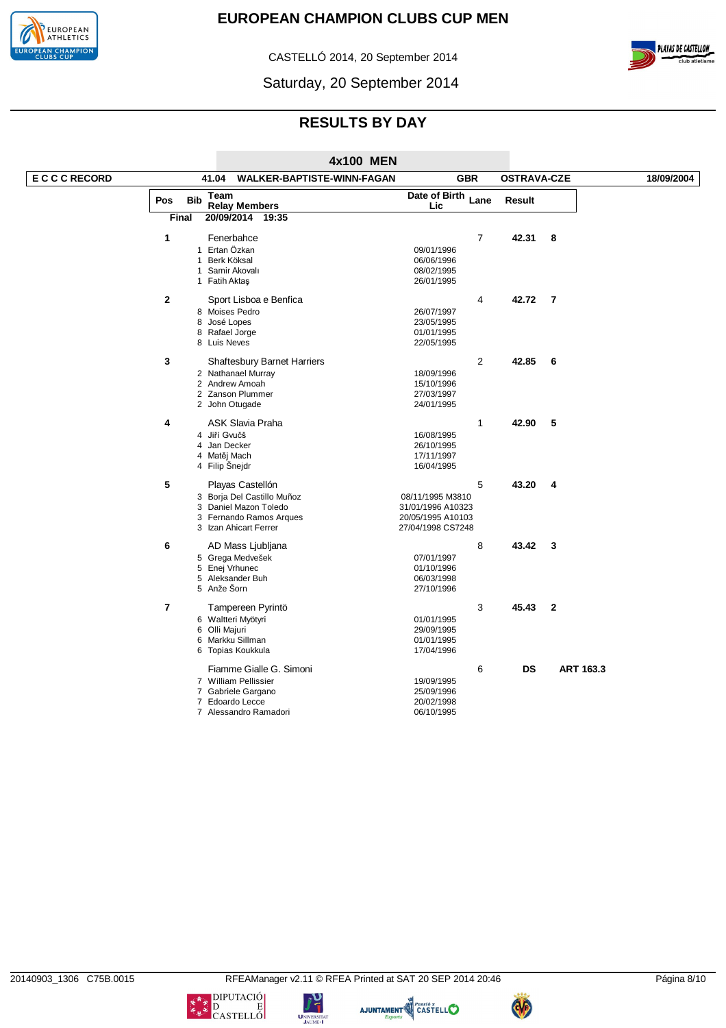



CASTELLÓ 2014, 20 September 2014

Saturday, 20 September 2014

# **RESULTS BY DAY**

|                       |                |              |                         |                                    | 4x100 MEN |                    |                |                    |                  |            |
|-----------------------|----------------|--------------|-------------------------|------------------------------------|-----------|--------------------|----------------|--------------------|------------------|------------|
| <b>E C C C RECORD</b> |                |              | 41.04                   | WALKER-BAPTISTE-WINN-FAGAN         |           |                    | <b>GBR</b>     | <b>OSTRAVA-CZE</b> |                  | 18/09/2004 |
|                       | Pos            | <b>Bib</b>   | Team                    |                                    |           | Date of Birth Lane |                | <b>Result</b>      |                  |            |
|                       |                | <b>Final</b> | <b>Relay Members</b>    | 20/09/2014 19:35                   |           | Lic                |                |                    |                  |            |
|                       |                |              |                         |                                    |           |                    |                |                    |                  |            |
|                       | $\mathbf{1}$   |              | Fenerbahce              |                                    |           |                    | 7              | 42.31              | 8                |            |
|                       |                |              | 1 Ertan Özkan           |                                    |           | 09/01/1996         |                |                    |                  |            |
|                       |                | $\mathbf{1}$ | Berk Köksal             |                                    |           | 06/06/1996         |                |                    |                  |            |
|                       |                |              | 1 Samir Akovalı         |                                    |           | 08/02/1995         |                |                    |                  |            |
|                       |                |              | 1 Fatih Aktaş           |                                    |           | 26/01/1995         |                |                    |                  |            |
|                       | $\overline{2}$ |              |                         | Sport Lisboa e Benfica             |           |                    | 4              | 42.72              | -7               |            |
|                       |                |              | 8 Moises Pedro          |                                    |           | 26/07/1997         |                |                    |                  |            |
|                       |                |              | 8 José Lopes            |                                    |           | 23/05/1995         |                |                    |                  |            |
|                       |                |              | 8 Rafael Jorge          |                                    |           | 01/01/1995         |                |                    |                  |            |
|                       |                |              | 8 Luis Neves            |                                    |           | 22/05/1995         |                |                    |                  |            |
|                       | 3              |              |                         | <b>Shaftesbury Barnet Harriers</b> |           |                    | $\overline{2}$ | 42.85              | 6                |            |
|                       |                |              | 2 Nathanael Murray      |                                    |           | 18/09/1996         |                |                    |                  |            |
|                       |                |              | 2 Andrew Amoah          |                                    |           | 15/10/1996         |                |                    |                  |            |
|                       |                |              | 2 Zanson Plummer        |                                    |           | 27/03/1997         |                |                    |                  |            |
|                       |                |              | 2 John Otugade          |                                    |           | 24/01/1995         |                |                    |                  |            |
|                       | 4              |              | <b>ASK Slavia Praha</b> |                                    |           |                    | 1              | 42.90              | 5                |            |
|                       |                |              | 4 Jiří Gvučš            |                                    |           | 16/08/1995         |                |                    |                  |            |
|                       |                |              | 4 Jan Decker            |                                    |           | 26/10/1995         |                |                    |                  |            |
|                       |                |              | 4 Matěj Mach            |                                    |           | 17/11/1997         |                |                    |                  |            |
|                       |                |              | 4 Filip Snejdr          |                                    |           | 16/04/1995         |                |                    |                  |            |
|                       | 5              |              |                         |                                    |           |                    | 5              |                    |                  |            |
|                       |                |              | Playas Castellón        |                                    |           |                    |                | 43.20              | 4                |            |
|                       |                |              |                         | 3 Borja Del Castillo Muñoz         |           | 08/11/1995 M3810   |                |                    |                  |            |
|                       |                |              |                         | 3 Daniel Mazon Toledo              |           | 31/01/1996 A10323  |                |                    |                  |            |
|                       |                |              | 3 Izan Ahicart Ferrer   | 3 Fernando Ramos Arques            |           | 20/05/1995 A10103  |                |                    |                  |            |
|                       |                |              |                         |                                    |           | 27/04/1998 CS7248  |                |                    |                  |            |
|                       | 6              |              |                         | AD Mass Ljubljana                  |           |                    | 8              | 43.42              | 3                |            |
|                       |                |              | 5 Grega Medvešek        |                                    |           | 07/01/1997         |                |                    |                  |            |
|                       |                |              | 5 Enej Vrhunec          |                                    |           | 01/10/1996         |                |                    |                  |            |
|                       |                |              | 5 Aleksander Buh        |                                    |           | 06/03/1998         |                |                    |                  |            |
|                       |                |              | 5 Anže Šorn             |                                    |           | 27/10/1996         |                |                    |                  |            |
|                       | $\overline{7}$ |              |                         | Tampereen Pyrintö                  |           |                    | 3              | 45.43              | $\overline{2}$   |            |
|                       |                |              | 6 Waltteri Myötyri      |                                    |           | 01/01/1995         |                |                    |                  |            |
|                       |                |              | 6 Olli Majuri           |                                    |           | 29/09/1995         |                |                    |                  |            |
|                       |                |              | 6 Markku Sillman        |                                    |           | 01/01/1995         |                |                    |                  |            |
|                       |                |              | 6 Topias Koukkula       |                                    |           | 17/04/1996         |                |                    |                  |            |
|                       |                |              |                         | Fiamme Gialle G. Simoni            |           |                    | 6              | <b>DS</b>          | <b>ART 163.3</b> |            |
|                       |                |              | 7 William Pellissier    |                                    |           | 19/09/1995         |                |                    |                  |            |
|                       |                |              | 7 Gabriele Gargano      |                                    |           | 25/09/1996         |                |                    |                  |            |
|                       |                |              | 7 Edoardo Lecce         |                                    |           | 20/02/1998         |                |                    |                  |            |
|                       |                |              |                         | 7 Alessandro Ramadori              |           | 06/10/1995         |                |                    |                  |            |





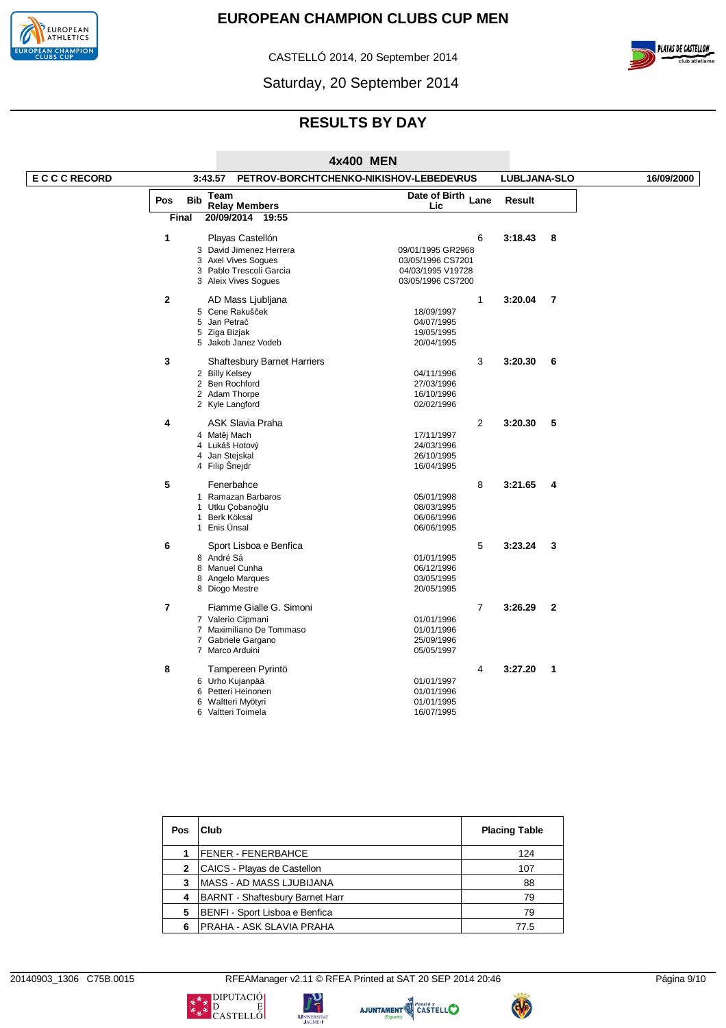

CASTELLÓ 2014, 20 September 2014



Saturday, 20 September 2014

# **RESULTS BY DAY**

|                   |                |                                            | 4x400 MEN                               |                         |            |
|-------------------|----------------|--------------------------------------------|-----------------------------------------|-------------------------|------------|
| <b>ECCCRECORD</b> |                | 3:43.57                                    | PETROV-BORCHTCHENKO-NIKISHOV-LEBEDEVRUS | LUBLJANA-SLO            | 16/09/2000 |
|                   | Pos            | Team<br><b>Bib</b><br><b>Relay Members</b> | Date of Birth Lane<br>Lic               | <b>Result</b>           |            |
|                   |                | Final<br>20/09/2014 19:55                  |                                         |                         |            |
|                   | 1              | Playas Castellón                           | 6                                       | 3:18.43<br>8            |            |
|                   |                | 3 David Jimenez Herrera                    | 09/01/1995 GR2968                       |                         |            |
|                   |                | 3 Axel Vives Sogues                        | 03/05/1996 CS7201                       |                         |            |
|                   |                | 3 Pablo Trescoli Garcia                    | 04/03/1995 V19728                       |                         |            |
|                   |                | 3 Aleix Vives Sogues                       | 03/05/1996 CS7200                       |                         |            |
|                   | $\mathbf{2}$   | AD Mass Ljubljana                          | $\mathbf{1}$                            | 3:20.04<br>7            |            |
|                   |                | 5 Cene Rakušček                            | 18/09/1997                              |                         |            |
|                   |                | 5 Jan Petrač                               | 04/07/1995                              |                         |            |
|                   |                | 5 Ziga Bizjak                              | 19/05/1995                              |                         |            |
|                   |                | 5 Jakob Janez Vodeb                        | 20/04/1995                              |                         |            |
|                   | 3              | Shaftesbury Barnet Harriers                | 3                                       | 3:20.30<br>6            |            |
|                   |                | 2 Billy Kelsey                             | 04/11/1996                              |                         |            |
|                   |                | 2 Ben Rochford                             | 27/03/1996                              |                         |            |
|                   |                | 2 Adam Thorpe                              | 16/10/1996                              |                         |            |
|                   |                | 2 Kyle Langford                            | 02/02/1996                              |                         |            |
|                   | 4              | <b>ASK Slavia Praha</b>                    | $\overline{2}$                          | 3:20.30<br>5            |            |
|                   |                | 4 Matěj Mach                               | 17/11/1997                              |                         |            |
|                   |                | 4 Lukáš Hotový                             | 24/03/1996                              |                         |            |
|                   |                | 4 Jan Stejskal                             | 26/10/1995                              |                         |            |
|                   |                | 4 Filip Šnejdr                             | 16/04/1995                              |                         |            |
|                   | 5              | Fenerbahce                                 | 8                                       | 3:21.65<br>4            |            |
|                   |                | 1 Ramazan Barbaros                         | 05/01/1998                              |                         |            |
|                   |                | 1 Utku Çobanoğlu                           | 08/03/1995                              |                         |            |
|                   |                | 1 Berk Köksal                              | 06/06/1996                              |                         |            |
|                   |                | 1 Enis Ünsal                               | 06/06/1995                              |                         |            |
|                   | 6              | Sport Lisboa e Benfica                     | 5                                       | 3:23.24<br>3            |            |
|                   |                | 8 André Sá                                 | 01/01/1995                              |                         |            |
|                   |                | 8 Manuel Cunha                             | 06/12/1996                              |                         |            |
|                   |                | 8 Angelo Marques                           | 03/05/1995                              |                         |            |
|                   |                | 8 Diogo Mestre                             | 20/05/1995                              |                         |            |
|                   | $\overline{7}$ | Fiamme Gialle G. Simoni                    | $\overline{7}$                          | 3:26.29<br>$\mathbf{2}$ |            |
|                   |                | 7 Valerio Cipmani                          | 01/01/1996                              |                         |            |
|                   |                | 7 Maximiliano De Tommaso                   | 01/01/1996                              |                         |            |
|                   |                | 7 Gabriele Gargano<br>7 Marco Arduini      | 25/09/1996<br>05/05/1997                |                         |            |
|                   | 8              | Tampereen Pyrintö                          | 4                                       | 3:27.20<br>$\mathbf{1}$ |            |
|                   |                |                                            |                                         |                         |            |
|                   |                | 6 Urho Kujanpää                            | 01/01/1997                              |                         |            |
|                   |                | 6 Petteri Heinonen<br>6 Waltteri Myötyri   | 01/01/1996<br>01/01/1995                |                         |            |
|                   |                | 6 Valtteri Toimela                         | 16/07/1995                              |                         |            |
|                   |                |                                            |                                         |                         |            |

| <b>Pos</b>   | Club                                   | <b>Placing Table</b> |
|--------------|----------------------------------------|----------------------|
|              | FENER - FENERBAHCE                     | 124                  |
| $\mathbf{2}$ | CAICS - Playas de Castellon            | 107                  |
| 3            | <b>MASS - AD MASS LJUBIJANA</b>        | 88                   |
| 4            | <b>BARNT - Shaftesbury Barnet Harr</b> | 79                   |
| 5            | BENFI - Sport Lisboa e Benfica         | 79                   |
| 6            | PRAHA - ASK SLAVIA PRAHA               | 77.5                 |

20140903\_1306 C75B.0015 RFEAManager v2.11 © RFEA Printed at SAT 20 SEP 2014 20:46 Página 9/10









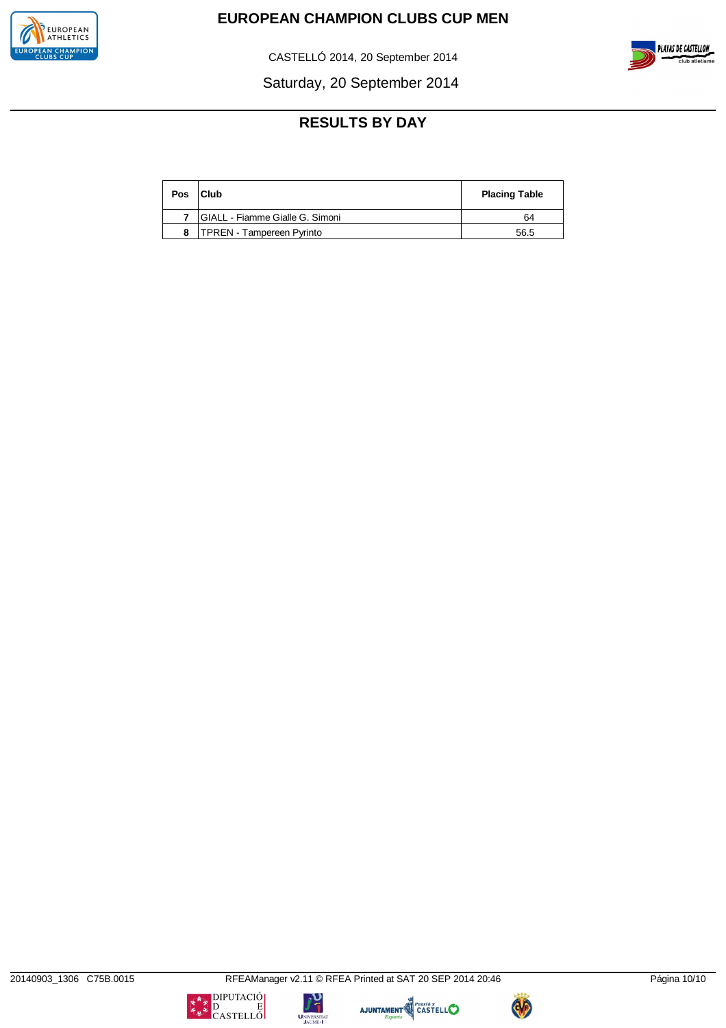

CASTELLÓ 2014, 20 September 2014



Saturday, 20 September 2014

# **RESULTS BY DAY**

| Pos | <b>Club</b>                      | <b>Placing Table</b> |
|-----|----------------------------------|----------------------|
|     | GIALL - Fiamme Gialle G. Simoni  | 64                   |
|     | <b>TPREN - Tampereen Pyrinto</b> | 56.5                 |

AJUNTAMENT CASTELLO



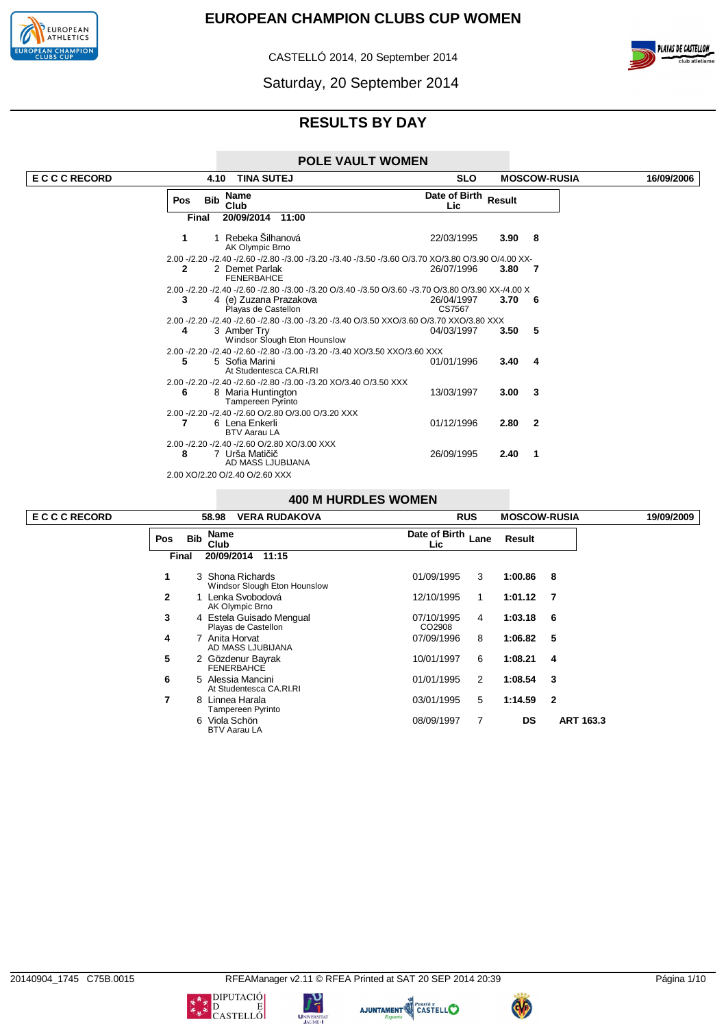

CASTELLÓ 2014, 20 September 2014





# **RESULTS BY DAY**

### **POLE VAULT WOMEN**

| <b>ECCCRECORD</b> |     | 4.10       | <b>TINA SUTEJ</b>                                                                                                                        | <b>SLO</b>                  |                | <b>MOSCOW-RUSIA</b> | 16/09/2006 |
|-------------------|-----|------------|------------------------------------------------------------------------------------------------------------------------------------------|-----------------------------|----------------|---------------------|------------|
|                   | Pos | <b>Bib</b> | Name<br>Club                                                                                                                             | Date of Birth Result<br>Lic |                |                     |            |
|                   |     | Final      | 20/09/2014 11:00                                                                                                                         |                             |                |                     |            |
|                   | 1   |            | Rebeka Šilhanová<br>AK Olympic Brno                                                                                                      | 22/03/1995                  | $3.90\quad 8$  |                     |            |
|                   |     |            | 2.00 -/2.20 -/2.40 -/2.60 -/2.80 -/3.00 -/3.20 -/3.40 -/3.50 -/3.60 O/3.70 XO/3.80 O/3.90 O/4.00 XX-                                     |                             |                |                     |            |
|                   | 2   |            | 2 Demet Parlak<br><b>FENERBAHCE</b>                                                                                                      | 26/07/1996                  | 3.80 7         |                     |            |
|                   |     |            | 2.00 -/2.20 -/2.40 -/2.60 -/2.80 -/3.00 -/3.20 O/3.40 -/3.50 O/3.60 -/3.70 O/3.80 O/3.90 XX-/4.00 X                                      |                             |                |                     |            |
|                   | 3   |            | 4 (e) Zuzana Prazakova<br>Playas de Castellon                                                                                            | 26/04/1997<br>CS7567        | $3.70\ 6$      |                     |            |
|                   | 4   |            | 2.00 -/2.20 -/2.40 -/2.60 -/2.80 -/3.00 -/3.20 -/3.40 O/3.50 XXO/3.60 O/3.70 XXO/3.80 XXX<br>3 Amber Try<br>Windsor Slough Eton Hounslow | 04/03/1997                  | 3.50           | -5                  |            |
|                   | 5   |            | 2.00 -/2.20 -/2.40 -/2.60 -/2.80 -/3.00 -/3.20 -/3.40 XO/3.50 XXO/3.60 XXX<br>5 Sofia Marini<br>At Studentesca CA.RI.RI                  | 01/01/1996                  | 3.40           | -4                  |            |
|                   | 6   |            | 2.00 -/2.20 -/2.40 -/2.60 -/2.80 -/3.00 -/3.20 XO/3.40 O/3.50 XXX<br>8 Maria Huntington<br><b>Tampereen Pyrinto</b>                      | 13/03/1997                  | $3.00 \quad 3$ |                     |            |
|                   |     |            | 2.00 -/2.20 -/2.40 -/2.60 O/2.80 O/3.00 O/3.20 XXX<br>6 Lena Enkerli<br><b>BTV Aarau LA</b>                                              | 01/12/1996                  | 2.80 2         |                     |            |
|                   | 8   |            | 2.00 -/2.20 -/2.40 -/2.60 O/2.80 XO/3.00 XXX<br>7 Urša Matičič<br>AD MASS LJUBIJANA                                                      | 26/09/1995                  | 2.40           | - 1                 |            |
|                   |     |            | 2.00 XO/2.20 O/2.40 O/2.60 XXX                                                                                                           |                             |                |                     |            |

### **400 M HURDLES WOMEN**

|              |            | 58.98<br><b>VERA RUDAKOVA</b>                    |                      | <b>RUS</b> | <b>MOSCOW-RUSIA</b> |              | 19/09/2009 |
|--------------|------------|--------------------------------------------------|----------------------|------------|---------------------|--------------|------------|
| <b>Pos</b>   | <b>Bib</b> | <b>Name</b><br>Club                              | Date of Birth<br>Lic | Lane       | Result              |              |            |
| Final        |            | 20/09/2014<br>11:15                              |                      |            |                     |              |            |
| 1            |            | 3 Shona Richards<br>Windsor Slough Eton Hounslow | 01/09/1995           | 3          | 1:00.86             | 8            |            |
| $\mathbf{2}$ |            | 1 Lenka Svobodová<br>AK Olympic Brno             | 12/10/1995           | 1          | 1:01.12             | 7            |            |
| 3            |            | 4 Estela Guisado Mengual<br>Playas de Castellon  | 07/10/1995<br>CO2908 | 4          | 1:03.18             | 6            |            |
| 4            | 7          | Anita Horvat<br>AD MASS LJUBIJANA                | 07/09/1996           | 8          | 1:06.82             | 5            |            |
| 5            |            | 2 Gözdenur Bayrak<br><b>FENERBAHCE</b>           | 10/01/1997           | 6          | 1:08.21             | 4            |            |
| 6            |            | 5 Alessia Mancini<br>At Studentesca CA.RI.RI     | 01/01/1995           | 2          | 1:08.54             | 3            |            |
| 7            | 8          | Linnea Harala<br>Tampereen Pyrinto               | 03/01/1995           | 5          | 1:14.59             | $\mathbf{2}$ |            |
|              | 6          | Viola Schön<br><b>BTV Aarau LA</b>               | 08/09/1997           | 7          | <b>DS</b>           | ART 163.3    |            |

**E C C C RECORD 58.98 VERA RUDAKOVA RUS MOSCOW-RUSIA 19/09/2009**

**UNIVERSIT.** 

 $\begin{picture}(180,10) \put(0,0){\line(1,0){15}} \put(10,0){\line(1,0){15}} \put(10,0){\line(1,0){15}} \put(10,0){\line(1,0){15}} \put(10,0){\line(1,0){15}} \put(10,0){\line(1,0){15}} \put(10,0){\line(1,0){15}} \put(10,0){\line(1,0){15}} \put(10,0){\line(1,0){15}} \put(10,0){\line(1,0){15}} \put(10,0){\line(1,0){15}} \put(10,0){\line($ 

**PLAYAS DE CASTELLON** 



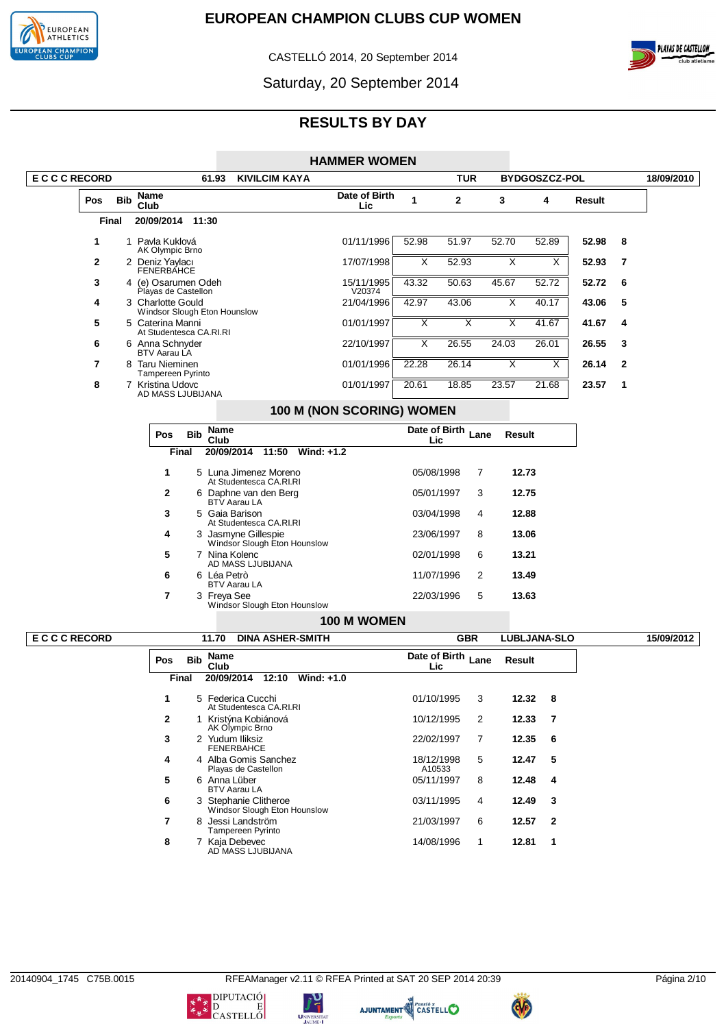

CASTELLÓ 2014, 20 September 2014



Saturday, 20 September 2014

|                   |            |                                                   |              |                     |                                                     | <b>HAMMER WOMEN</b>       |                         |                         |                         |                         |        |              |            |
|-------------------|------------|---------------------------------------------------|--------------|---------------------|-----------------------------------------------------|---------------------------|-------------------------|-------------------------|-------------------------|-------------------------|--------|--------------|------------|
| <b>ECCCRECORD</b> |            |                                                   |              | 61.93               | <b>KIVILCIM KAYA</b>                                |                           |                         | <b>TUR</b>              |                         | BYDGOSZCZ-POL           |        |              | 18/09/2010 |
| Pos               | <b>Bib</b> | Name<br>Club                                      |              |                     |                                                     | Date of Birth<br>Lic      | $\mathbf{1}$            | $\mathbf 2$             | 3                       | 4                       | Result |              |            |
|                   | Final      | 20/09/2014 11:30                                  |              |                     |                                                     |                           |                         |                         |                         |                         |        |              |            |
| 1                 |            | 1 Pavla Kuklová<br>AK Olympic Brno                |              |                     |                                                     | 01/11/1996                | 52.98                   | 51.97                   | 52.70                   | 52.89                   | 52.98  | 8            |            |
| $\mathbf{2}$      |            | 2 Deniz Yaylacı<br>FENERBÁHCE                     |              |                     |                                                     | 17/07/1998                | $\overline{\mathsf{x}}$ | 52.93                   | X                       | $\overline{\mathsf{x}}$ | 52.93  | 7            |            |
| 3                 |            | 4 (e) Osarumen Odeh<br>Playas de Castellon        |              |                     |                                                     | 15/11/1995<br>V20374      | 43.32                   | 50.63                   | 45.67                   | 52.72                   | 52.72  | 6            |            |
| 4                 |            | 3 Charlotte Gould<br>Windsor Slough Eton Hounslow |              |                     |                                                     | 21/04/1996                | 42.97                   | 43.06                   | Χ                       | 40.17                   | 43.06  | 5            |            |
| 5                 |            | 5 Caterina Manni<br>At Studentesca CA.RI.RI       |              |                     |                                                     | 01/01/1997                | $\overline{\mathsf{x}}$ | X                       | X                       | 41.67                   | 41.67  | 4            |            |
| 6                 |            | 6 Anna Schnyder<br>BTV Aarau LA                   |              |                     |                                                     | 22/10/1997                | X                       | 26.55                   | 24.03                   | 26.01                   | 26.55  | 3            |            |
| 7                 |            | 8 Taru Nieminen                                   |              |                     |                                                     | 01/01/1996                | 22.28                   | 26.14                   | $\overline{\mathsf{x}}$ | $\overline{\mathsf{x}}$ | 26.14  | $\mathbf{2}$ |            |
| 8                 |            | Tampereen Pyrinto<br>7 Kristina Udovc             |              |                     |                                                     | 01/01/1997                | 20.61                   | 18.85                   | 23.57                   | 21.68                   | 23.57  | 1            |            |
|                   |            | AD MASS LJUBIJANA                                 |              |                     |                                                     | 100 M (NON SCORING) WOMEN |                         |                         |                         |                         |        |              |            |
|                   |            | Pos                                               | <b>Bib</b>   | <b>Name</b>         |                                                     |                           | Date of Birth           |                         | Lane                    |                         |        |              |            |
|                   |            |                                                   | <b>Final</b> | Club                | 20/09/2014 11:50<br>Wind: $+1.2$                    |                           | Lic                     |                         | Result                  |                         |        |              |            |
|                   |            | 1                                                 |              |                     | 5 Luna Jimenez Moreno                               |                           | 05/08/1998              |                         | 7<br>12.73              |                         |        |              |            |
|                   |            | $\mathbf{2}$                                      |              |                     | At Studentesca CA.RI.RI<br>6 Daphne van den Berg    |                           | 05/01/1997              |                         | 12.75<br>3              |                         |        |              |            |
|                   |            | 3                                                 |              |                     | BTV Aarau LA<br>5 Gaia Barison                      |                           | 03/04/1998              |                         | 12.88<br>4              |                         |        |              |            |
|                   |            |                                                   |              |                     | At Studentesca CA.RI.RI                             |                           |                         |                         |                         |                         |        |              |            |
|                   |            | 4                                                 |              |                     | 3 Jasmyne Gillespie<br>Windsor Slough Eton Hounslow |                           | 23/06/1997              |                         | 8<br>13.06              |                         |        |              |            |
|                   |            | 5                                                 |              |                     | 7 Nina Kolenc<br>AD MASS LJUBIJANA                  |                           | 02/01/1998              |                         | 6<br>13.21              |                         |        |              |            |
|                   |            | 6                                                 |              | 6 Léa Petrò         | BTV Aarau LA                                        |                           | 11/07/1996              |                         | 2<br>13.49              |                         |        |              |            |
|                   |            | $\overline{7}$                                    |              | 3 Freya See         | Windsor Slough Eton Hounslow                        |                           | 22/03/1996              |                         | 5<br>13.63              |                         |        |              |            |
|                   |            |                                                   |              |                     |                                                     | 100 M WOMEN               |                         |                         |                         |                         |        |              |            |
| <b>ECCCRECORD</b> |            |                                                   |              | 11.70               | <b>DINA ASHER-SMITH</b>                             |                           |                         | <b>GBR</b>              |                         | <b>LUBLJANA-SLO</b>     |        |              | 15/09/2012 |
|                   |            | Pos                                               | <b>Bib</b>   | <b>Name</b><br>Club |                                                     |                           | Lic                     | Date of Birth Lane      | Result                  |                         |        |              |            |
|                   |            |                                                   | Final        |                     | 20/09/2014<br>12:10<br>Wind: +1.0                   |                           |                         |                         |                         |                         |        |              |            |
|                   |            | 1                                                 |              |                     | 5 Federica Cucchi<br>At Studentesca CA.RI.RI        |                           | 01/10/1995              | $\overline{\mathbf{3}}$ | 12.32                   | 8                       |        |              |            |
|                   |            | $\mathbf{2}$                                      |              |                     | 1 Kristýna Kobiánová<br>AK Olympic Brno             |                           | 10/12/1995              |                         | $\overline{2}$<br>12.33 | $\overline{7}$          |        |              |            |
|                   |            | 3                                                 |              |                     | 2 Yudum Iliksiz<br><b>FENERBAHCE</b>                |                           | 22/02/1997              |                         | 12.35<br>7              | 6                       |        |              |            |
|                   |            | 4                                                 |              |                     | 4 Alba Gomis Sanchez<br>Playas de Castellon         |                           | 18/12/1998<br>A10533    |                         | 5<br>12.47              | 5                       |        |              |            |
|                   |            | 5                                                 |              |                     | 6 Anna Lüber<br><b>BTV Aarau LA</b>                 |                           | 05/11/1997              |                         | 8<br>12.48              | 4                       |        |              |            |
|                   |            | 6                                                 |              |                     | 3 Stephanie Clitheroe                               |                           | 03/11/1995              |                         | 12.49<br>4              | 3                       |        |              |            |
|                   |            | $\overline{7}$                                    |              |                     | Windsor Slough Eton Hounslow<br>8 Jessi Landström   |                           | 21/03/1997              |                         | 6<br>12.57              | $\mathbf{2}$            |        |              |            |
|                   |            | 8                                                 |              |                     | Tampereen Pyrinto<br>7 Kaja Debevec                 |                           | 14/08/1996              |                         | 12.81<br>1              | 1                       |        |              |            |
|                   |            |                                                   |              |                     | AD MASS LJUBIJANA                                   |                           |                         |                         |                         |                         |        |              |            |





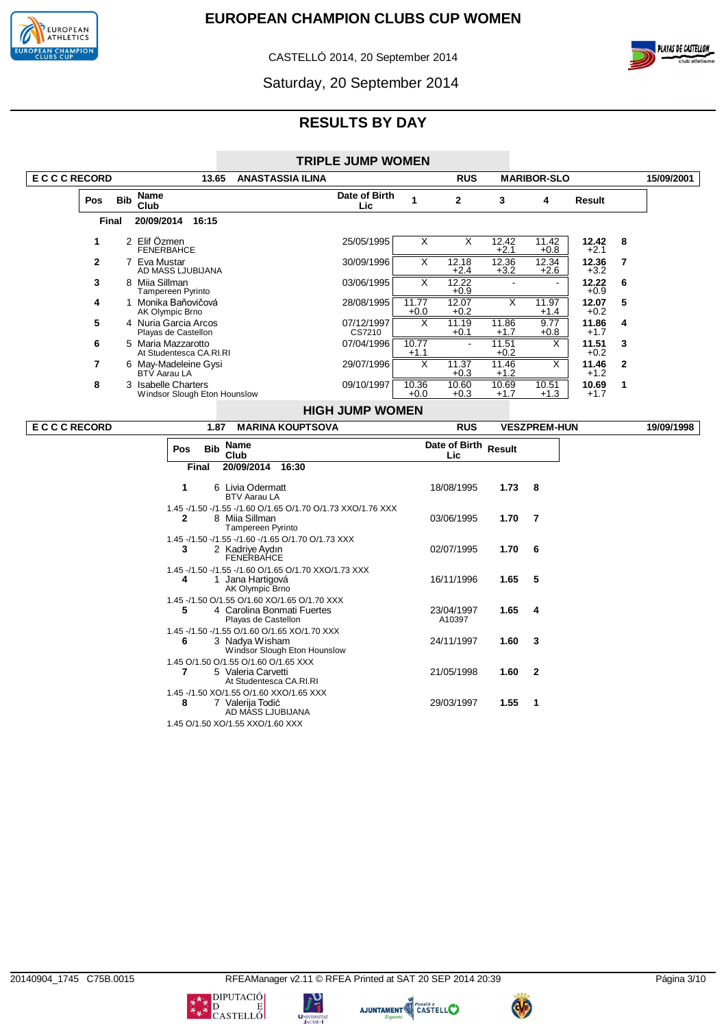

CASTELLÓ 2014, 20 September 2014



Saturday, 20 September 2014

|                   |            |                                                     |                         | <b>TRIPLE JUMP WOMEN</b> |                 |                 |                 |                    |                 |              |            |
|-------------------|------------|-----------------------------------------------------|-------------------------|--------------------------|-----------------|-----------------|-----------------|--------------------|-----------------|--------------|------------|
| <b>ECCCRECORD</b> |            | 13.65                                               | <b>ANASTASSIA ILINA</b> |                          |                 | <b>RUS</b>      |                 | <b>MARIBOR-SLO</b> |                 |              | 15/09/2001 |
| <b>Pos</b>        | <b>Bib</b> | Name<br>Club                                        |                         | Date of Birth<br>Lic     |                 | $\mathbf{2}$    | 3               | 4                  | Result          |              |            |
| Final             |            | 20/09/2014<br>16:15                                 |                         |                          |                 |                 |                 |                    |                 |              |            |
| 1                 |            | 2 Elif Özmen<br><b>FENERBAHCE</b>                   |                         | 25/05/1995               | X               | X               | 12.42<br>$+2.1$ | 11.42<br>$+0.8$    | 12.42<br>$+2.1$ | -8           |            |
| $\overline{2}$    |            | Eva Mustar<br>AD MASS LJUBIJANA                     |                         | 30/09/1996               | x               | 12.18<br>$+2.4$ | 12.36<br>$+3.2$ | 12.34<br>$+2.6$    | 12.36<br>$+3.2$ | 7            |            |
| 3                 | 8          | Miia Sillman<br>Tampereen Pyrinto                   |                         | 03/06/1995               | X               | 12.22<br>$+0.9$ |                 |                    | 12.22<br>$+0.9$ | 6            |            |
| 4                 |            | 1 Monika Baňovičová<br>AK Olympic Brno              |                         | 28/08/1995               | 11.77<br>$+0.0$ | 12.07<br>$+0.2$ | X               | 11.97<br>$+1.4$    | 12.07<br>$+0.2$ | 5            |            |
| 5                 |            | 4 Nuria Garcia Arcos<br>Playas de Castellon         |                         | 07/12/1997<br>CS7210     | X               | 11.19<br>$+0.1$ | 11.86<br>$+1.7$ | 9.77<br>$+0.8$     | 11.86<br>$+1.7$ | 4            |            |
| 6                 |            | 5 Maria Mazzarotto<br>At Studentesca CA.RI.RI       |                         | 07/04/1996               | 10.77<br>$+1.1$ | $\blacksquare$  | 11.51<br>$+0.2$ | X                  | 11.51<br>$+0.2$ | 3            |            |
| 7                 |            | 6 May-Madeleine Gysi<br>BTV Aarau LA                |                         | 29/07/1996               | X               | 11.37<br>$+0.3$ | 11.46<br>$+1.2$ | X                  | 11.46<br>$+1.2$ | $\mathbf{2}$ |            |
| 8                 |            | 3 Isabelle Charters<br>Windsor Slough Eton Hounslow |                         | 09/10/1997               | 10.36<br>$+0.0$ | 10.60<br>$+0.3$ | 10.69<br>$+1.7$ | 10.51<br>$+1.3$    | 10.69<br>$+1.7$ | 1            |            |
|                   |            |                                                     |                         | <b>HIGH JUMP WOMEN</b>   |                 |                 |                 |                    |                 |              |            |

| <b>ECCCRECORD</b> | 1.87              | <b>MARINA KOUPTSOVA</b>                                                                                   | <b>RUS</b>                  |        | <b>VESZPREM-HUN</b>     | 19/09/1998 |
|-------------------|-------------------|-----------------------------------------------------------------------------------------------------------|-----------------------------|--------|-------------------------|------------|
|                   | <b>Bib</b><br>Pos | <b>Name</b><br>Club                                                                                       | Date of Birth Result<br>Lic |        |                         |            |
|                   | <b>Final</b>      | 20/09/2014<br>16:30                                                                                       |                             |        |                         |            |
|                   | 1                 | 6 Livia Odermatt<br><b>BTV Aarau LA</b>                                                                   | 18/08/1995                  | 1.73 8 |                         |            |
|                   | 2                 | 1.45 -/1.50 -/1.55 -/1.60 O/1.65 O/1.70 O/1.73 XXO/1.76 XXX<br>8 Miia Sillman<br><b>Tampereen Pyrinto</b> | 03/06/1995                  | 1.70   | $\overline{7}$          |            |
|                   | 3                 | 1.45 - / 1.50 - / 1.55 - / 1.60 - / 1.65 O / 1.70 O / 1.73 XXX<br>2 Kadriye Aydın<br><b>FENERBAHCE</b>    | 02/07/1995                  | 1.706  |                         |            |
|                   | 4                 | 1.45 -/1.50 -/1.55 -/1.60 O/1.65 O/1.70 XXO/1.73 XXX<br>Jana Hartigová<br>AK Olympic Brno                 | 16/11/1996                  | 1.65 5 |                         |            |
|                   | 5                 | 1.45 -/1.50 O/1.55 O/1.60 XO/1.65 O/1.70 XXX<br>4 Carolina Bonmati Fuertes<br>Playas de Castellon         | 23/04/1997<br>A10397        | 1.65   | -4                      |            |
|                   | 6                 | 1.45 -/1.50 -/1.55 O/1.60 O/1.65 XO/1.70 XXX<br>3 Nadya Wisham<br>Windsor Slough Eton Hounslow            | 24/11/1997                  | 1.60 3 |                         |            |
|                   |                   | 1.45 O/1.50 O/1.55 O/1.60 O/1.65 XXX<br>5 Valeria Carvetti<br>At Studentesca CA.RI.RI                     | 21/05/1998                  | 1.60   | $\overline{\mathbf{2}}$ |            |
|                   | 8                 | 1.45 -/1.50 XO/1.55 O/1.60 XXO/1.65 XXX<br>7 Valerija Todić<br>AD MÁSS LJUBIJANA                          | 29/03/1997                  | 1.55   | $\overline{\mathbf{1}}$ |            |
|                   |                   | 1.45 O/1.50 XO/1.55 XXO/1.60 XXX                                                                          |                             |        |                         |            |







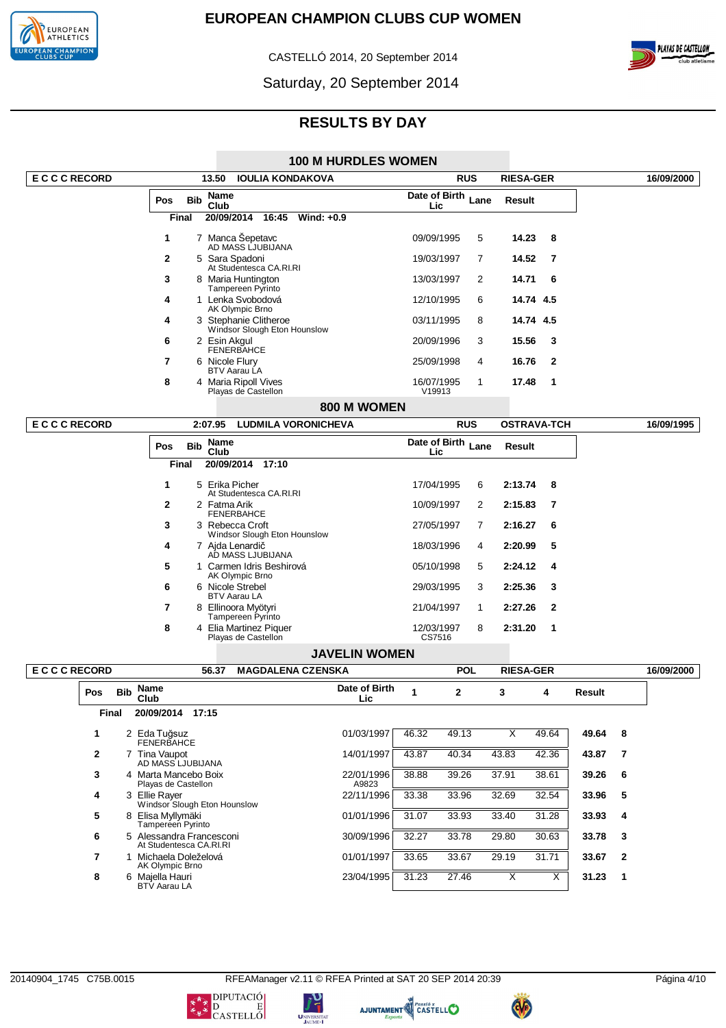

CASTELLÓ 2014, 20 September 2014



Saturday, 20 September 2014

## **RESULTS BY DAY**

#### **100 M HURDLES WOMEN**

| <b>ECCCRECORD</b> |              |            |                                   | 13.50<br><b>IOULIA KONDAKOVA</b> |              |                                               |                              |                      | <b>RUS</b>           |                           | <b>RIESA-GER</b> |                         |              | 16/09/2000 |                |            |
|-------------------|--------------|------------|-----------------------------------|----------------------------------|--------------|-----------------------------------------------|------------------------------|----------------------|----------------------|---------------------------|------------------|-------------------------|--------------|------------|----------------|------------|
|                   |              |            | Pos                               | <b>Bib</b>                       | Name<br>Club |                                               |                              |                      |                      | Date of Birth Lane<br>Lic |                  |                         | Result       |            |                |            |
|                   |              |            |                                   | <b>Final</b>                     |              | 20/09/2014 16:45                              | Wind: $+0.9$                 |                      |                      |                           |                  |                         |              |            |                |            |
|                   |              |            | 1                                 |                                  |              | 7 Manca Šepetavc<br>AD MASS LJUBIJANA         |                              |                      | 09/09/1995           |                           | 5                | 14.23                   | 8            |            |                |            |
|                   |              |            | $\mathbf{2}$                      |                                  |              | 5 Sara Spadoni<br>At Studentesca CA.RI.RI     |                              |                      | 19/03/1997           |                           | 7                | 14.52                   | 7            |            |                |            |
|                   |              |            | 3                                 |                                  |              | 8 Maria Huntington<br>Tampereen Pyrinto       |                              |                      | 13/03/1997           |                           | 2                | 14.71                   | 6            |            |                |            |
|                   |              |            | 4                                 |                                  |              | 1 Lenka Svobodová<br>AK Olympic Brno          |                              |                      | 12/10/1995           |                           | 6                | 14.74 4.5               |              |            |                |            |
|                   |              |            | 4                                 |                                  |              | 3 Stephanie Clitheroe                         | Windsor Slough Eton Hounslow |                      | 03/11/1995           |                           | 8                | 14.74 4.5               |              |            |                |            |
|                   |              |            | 6                                 |                                  | 2 Esin Akgul | <b>FENERBAHCE</b>                             |                              |                      | 20/09/1996           |                           | 3                | 15.56                   | 3            |            |                |            |
|                   |              |            | $\overline{7}$                    |                                  |              | 6 Nicole Flury<br>BTV Aarau LA                |                              |                      | 25/09/1998           |                           | 4                | 16.76                   | $\mathbf{2}$ |            |                |            |
|                   |              |            | 8                                 |                                  |              | 4 Maria Ripoll Vives<br>Playas de Castellon   |                              |                      | 16/07/1995<br>V19913 |                           | 1                | 17.48                   | 1            |            |                |            |
|                   |              |            |                                   |                                  |              |                                               |                              | 800 M WOMEN          |                      |                           |                  |                         |              |            |                |            |
| <b>ECCCRECORD</b> |              |            |                                   |                                  | 2:07.95      |                                               | <b>LUDMILA VORONICHEVA</b>   |                      |                      | <b>RUS</b>                |                  | <b>OSTRAVA-TCH</b>      |              |            |                | 16/09/1995 |
|                   |              |            | Pos                               | <b>Bib</b>                       | <b>Name</b>  |                                               |                              |                      | Date of Birth Lane   |                           |                  | Result                  |              |            |                |            |
|                   |              |            |                                   | <b>Final</b>                     | Club         | 20/09/2014 17:10                              |                              |                      | Lic                  |                           |                  |                         |              |            |                |            |
|                   |              |            | 1                                 |                                  |              | 5 Erika Picher                                |                              |                      | 17/04/1995           |                           | 6                | 2:13.74                 | 8            |            |                |            |
|                   |              |            | $\mathbf{2}$                      |                                  | 2 Fatma Arik | At Studentesca CA.RI.RI                       |                              |                      | 10/09/1997           |                           | 2                | 2:15.83                 | 7            |            |                |            |
|                   |              |            | 3                                 |                                  |              | <b>FENERBAHCE</b><br>3 Rebecca Croft          |                              |                      | 27/05/1997           |                           | 7                | 2:16.27                 | 6            |            |                |            |
|                   |              |            | 4                                 |                                  |              | 7 Ajda Lenardič                               | Windsor Slough Eton Hounslow |                      | 18/03/1996           |                           | 4                | 2:20.99                 | 5            |            |                |            |
|                   |              |            | 5                                 |                                  |              | AD MASS LJUBIJANA<br>1 Carmen Idris Beshirová |                              |                      | 05/10/1998           |                           | 5                | 2:24.12                 | 4            |            |                |            |
|                   |              |            | 6                                 |                                  |              | AK Olympic Brno<br>6 Nicole Strebel           |                              |                      | 29/03/1995           |                           | 3                | 2:25.36                 | 3            |            |                |            |
|                   |              |            | 7                                 |                                  |              | <b>BTV Aarau LA</b><br>8 Ellinoora Myötyri    |                              |                      | 21/04/1997           |                           | 1                | 2:27.26                 | $\mathbf{2}$ |            |                |            |
|                   |              |            | 8                                 |                                  |              | Tampereen Pyrinto<br>4 Elia Martinez Piquer   |                              |                      | 12/03/1997           |                           | 8                | 2:31.20                 | 1            |            |                |            |
|                   |              |            |                                   |                                  |              | Playas de Castellon                           |                              |                      | CS7516               |                           |                  |                         |              |            |                |            |
|                   |              |            |                                   |                                  |              |                                               |                              | <b>JAVELIN WOMEN</b> |                      |                           |                  |                         |              |            |                |            |
| <b>ECCCRECORD</b> |              |            |                                   |                                  | 56.37        |                                               | <b>MAGDALENA CZENSKA</b>     |                      |                      | <b>POL</b>                |                  | <b>RIESA-GER</b>        |              |            |                | 16/09/2000 |
|                   | Pos          | <b>Bib</b> | <b>Name</b><br>Club               |                                  |              |                                               |                              | Date of Birth<br>Lic | 1                    | 2                         |                  | 3                       | 4            | Result     |                |            |
|                   |              | Final      | 20/09/2014                        |                                  | 17:15        |                                               |                              |                      |                      |                           |                  |                         |              |            |                |            |
|                   | 1            |            | 2 Eda Tuğsuz<br><b>FENERBAHCE</b> |                                  |              |                                               |                              | 01/03/1997           | 46.32                | 49.13                     |                  | $\overline{\mathsf{x}}$ | 49.64        | 49.64      | 8              |            |
|                   | $\mathbf{2}$ |            | 7 Tina Vaupot                     | AD MASS LJUBIJANA                |              |                                               |                              | 14/01/1997           | 43.87                | 40.34                     |                  | 43.83                   | 42.36        | 43.87      | $\overline{7}$ |            |
|                   | 3            |            | 4 Marta Mancebo Boix              | Playas de Castellon              |              |                                               |                              | 22/01/1996<br>A9823  | 38.88                | 39.26                     |                  | 37.91                   | 38.61        | 39.26      | 6              |            |
|                   | 4            |            | 3 Ellie Rayer                     | Windsor Slough Eton Hounslow     |              |                                               |                              | 22/11/1996           | 33.38                | 33.96                     |                  | 32.69                   | 32.54        | 33.96      | 5              |            |
|                   | 5            |            | 8 Elisa Myllymäki                 |                                  |              |                                               |                              | 01/01/1996           | 31.07                | 33.93                     |                  | 33.40                   | 31.28        | 33.93      | $\overline{4}$ |            |

**5** 8 Elisa Myllymäki Tampereen Pyrinto

**6** 5 Alessandra Francesconi At Studentesca CA.RI.RI

**7** 1 Michaela Doleželová AK Olympic Brno

**8** 6 Majella Hauri BTV Aarau LA

 $\begin{array}{c}\nU_{\text{NIVERSITA}} \\
J_\text{AUME-1}\n\end{array}$ 









30/09/1996 32.27 33.78 29.80 30.63 **33.78 3**

01/01/1997 33.65 33.67 29.19 31.71 **33.67 2**

23/04/1995 31.23 27.46 X X **31.23 1**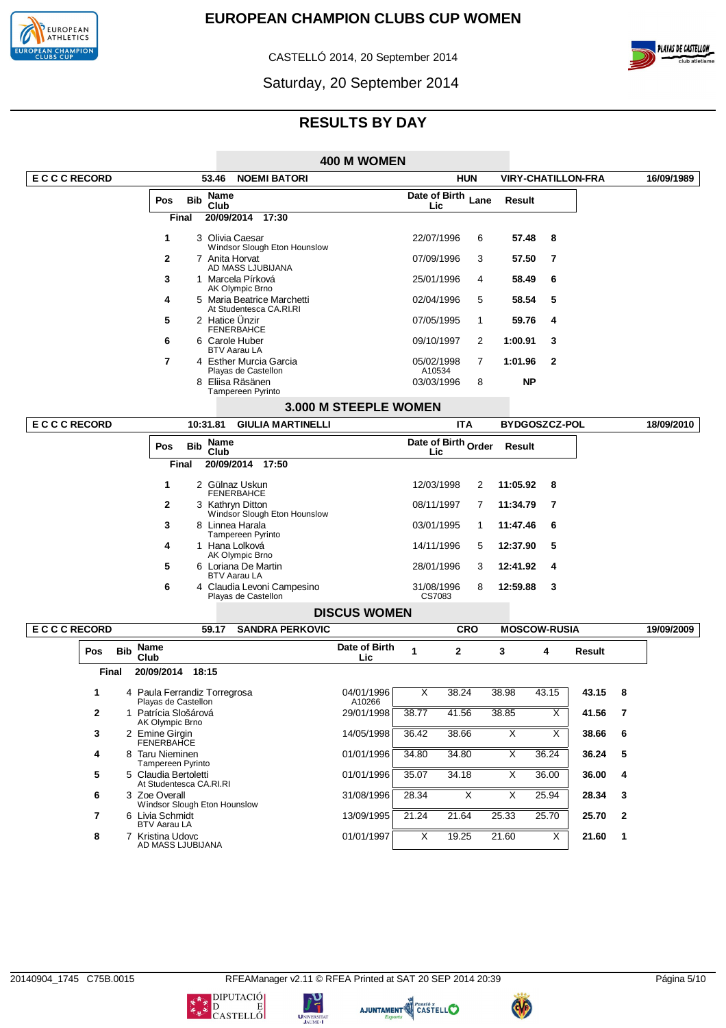

 $\overline{\phantom{a}}$ 

# **EUROPEAN CHAMPION CLUBS CUP WOMEN**

CASTELLÓ 2014, 20 September 2014



Saturday, 20 September 2014

# **RESULTS BY DAY**

|                   |            |      |                                                                |            |                     |                                                       | 400 M WOMEN           |                      |                         |   |                           |       |        |              |            |
|-------------------|------------|------|----------------------------------------------------------------|------------|---------------------|-------------------------------------------------------|-----------------------|----------------------|-------------------------|---|---------------------------|-------|--------|--------------|------------|
| <b>ECCCRECORD</b> |            |      |                                                                |            | 53.46               | <b>NOEMI BATORI</b>                                   |                       | <b>HUN</b>           |                         |   | <b>VIRY-CHATILLON-FRA</b> |       |        |              | 16/09/1989 |
|                   |            |      | Pos                                                            | <b>Bib</b> | <b>Name</b><br>Club |                                                       |                       | Lic                  | Date of Birth Lane      |   | Result                    |       |        |              |            |
|                   |            |      | Final                                                          |            | 20/09/2014          | 17:30                                                 |                       |                      |                         |   |                           |       |        |              |            |
|                   |            |      | 1                                                              |            |                     | 3 Olivia Caesar<br>Windsor Slough Eton Hounslow       |                       | 22/07/1996           |                         | 6 | 57.48                     | 8     |        |              |            |
|                   |            |      | 2                                                              |            |                     | 7 Anita Horvat<br>AD MASS LJUBIJANA                   |                       | 07/09/1996           |                         | 3 | 57.50                     | 7     |        |              |            |
|                   |            |      | 3                                                              |            |                     | 1 Marcela Pírková<br>AK Olympic Brno                  |                       | 25/01/1996           |                         | 4 | 58.49                     | 6     |        |              |            |
|                   |            |      | 4                                                              |            |                     | 5 Maria Beatrice Marchetti<br>At Studentesca CA.RI.RI |                       | 02/04/1996           |                         | 5 | 58.54                     | 5     |        |              |            |
|                   |            |      | 5                                                              |            |                     | 2 Hatice Unzir<br><b>FENERBAHCE</b>                   |                       | 07/05/1995           |                         | 1 | 59.76                     | 4     |        |              |            |
|                   |            |      | 6                                                              |            |                     | 6 Carole Huber<br><b>BTV Aarau LA</b>                 |                       | 09/10/1997           |                         | 2 | 1:00.91                   | 3     |        |              |            |
|                   |            |      | 7                                                              |            |                     | 4 Esther Murcia Garcia<br>Playas de Castellon         |                       | 05/02/1998<br>A10534 |                         | 7 | 1:01.96                   | 2     |        |              |            |
|                   |            |      |                                                                | 8          |                     | Eliisa Räsänen<br><b>Tampereen Pyrinto</b>            |                       | 03/03/1996           |                         | 8 | <b>NP</b>                 |       |        |              |            |
|                   |            |      |                                                                |            |                     |                                                       | 3.000 M STEEPLE WOMEN |                      |                         |   |                           |       |        |              |            |
| <b>ECCCRECORD</b> |            |      |                                                                |            | 10:31.81            | <b>GIULIA MARTINELLI</b>                              |                       |                      | <b>ITA</b>              |   | <b>BYDGOSZCZ-POL</b>      |       |        |              | 18/09/2010 |
|                   |            |      | Pos                                                            | <b>Bib</b> | Name<br>Club        |                                                       |                       | Lic                  | Date of Birth Order     |   | <b>Result</b>             |       |        |              |            |
|                   |            |      | <b>Final</b>                                                   |            |                     | 20/09/2014 17:50                                      |                       |                      |                         |   |                           |       |        |              |            |
|                   |            |      | 1                                                              |            |                     | 2 Gülnaz Uskun<br><b>FENERBAHCE</b>                   |                       | 12/03/1998           |                         | 2 | 11:05.92                  | 8     |        |              |            |
|                   |            |      | 2                                                              |            |                     | 3 Kathryn Ditton<br>Windsor Slough Eton Hounslow      |                       | 08/11/1997           |                         | 7 | 11:34.79                  | 7     |        |              |            |
|                   |            |      | 3                                                              |            |                     | 8 Linnea Harala<br><b>Tampereen Pyrinto</b>           |                       | 03/01/1995           |                         | 1 | 11:47.46                  | 6     |        |              |            |
|                   |            |      | 4                                                              |            |                     | 1 Hana Lolková<br>AK Olympic Brno                     |                       | 14/11/1996           |                         | 5 | 12:37.90                  | 5     |        |              |            |
|                   |            |      | 5                                                              |            |                     | 6 Loriana De Martin<br><b>BTV Aarau LA</b>            |                       | 28/01/1996           |                         | 3 | 12:41.92                  | 4     |        |              |            |
|                   |            |      | 6                                                              |            |                     | 4 Claudia Levoni Campesino<br>Playas de Castellon     |                       | 31/08/1996<br>CS7083 |                         | 8 | 12:59.88                  | 3     |        |              |            |
|                   |            |      |                                                                |            |                     |                                                       | <b>DISCUS WOMEN</b>   |                      |                         |   |                           |       |        |              |            |
| <b>ECCCRECORD</b> |            |      |                                                                |            | 59.17               | <b>SANDRA PERKOVIC</b>                                |                       |                      | <b>CRO</b>              |   | <b>MOSCOW-RUSIA</b>       |       |        |              | 19/09/2009 |
| Pos               | <b>Bib</b> | Club | Name                                                           |            |                     |                                                       | Date of Birth<br>Lic  | 1                    | $\mathbf{2}$            |   | 3                         | 4     | Result |              |            |
|                   | Final      |      | 20/09/2014 18:15                                               |            |                     |                                                       |                       |                      |                         |   |                           |       |        |              |            |
| 1                 |            |      | 4 Paula Ferrandiz Torregrosa                                   |            |                     |                                                       | 04/01/1996            | Х                    | 38.24                   |   | 38.98                     | 43.15 | 43.15  | 8            |            |
| $\mathbf{2}$      |            |      | Playas de Castellon<br>1 Patrícia Slošárová<br>AK Olympic Brno |            |                     |                                                       | A10266<br>29/01/1998  | 38.77                | 41.56                   |   | 38.85                     | Χ     | 41.56  | 7            |            |
| 3                 |            |      | 2 Emine Girain<br><b>FENERBAHCE</b>                            |            |                     |                                                       | 14/05/1998            | 36.42                | 38.66                   |   | X                         | Χ     | 38.66  | 6            |            |
| 4                 |            |      | 8 Taru Nieminen<br>Tampereen Pyrinto                           |            |                     |                                                       | 01/01/1996            | 34.80                | 34.80                   |   | Χ                         | 36.24 | 36.24  | 5            |            |
| 5                 |            |      | 5 Claudia Bertoletti<br>At Studentesca CA.RI.RI                |            |                     |                                                       | 01/01/1996            | 35.07                | 34.18                   |   | $\overline{\mathsf{x}}$   | 36.00 | 36.00  | 4            |            |
| 6                 |            |      | 3 Zoe Overall<br>Windsor Slough Eton Hounslow                  |            |                     |                                                       | 31/08/1996            | 28.34                | $\overline{\mathsf{x}}$ |   | $\overline{\mathsf{x}}$   | 25.94 | 28.34  | 3            |            |
| 7                 |            |      | 6 Livia Schmidt<br><b>BTV Aarau LA</b>                         |            |                     |                                                       | 13/09/1995            | 21.24                | 21.64                   |   | 25.33                     | 25.70 | 25.70  | $\mathbf{2}$ |            |
| 8                 |            |      | 7 Kristina Udovc<br>AD MASS LJUBIJANA                          |            |                     |                                                       | 01/01/1997            | Χ                    | 19.25                   |   | 21.60                     | Χ     | 21.60  | 1            |            |

טי<br>ד

UNIVERSITA





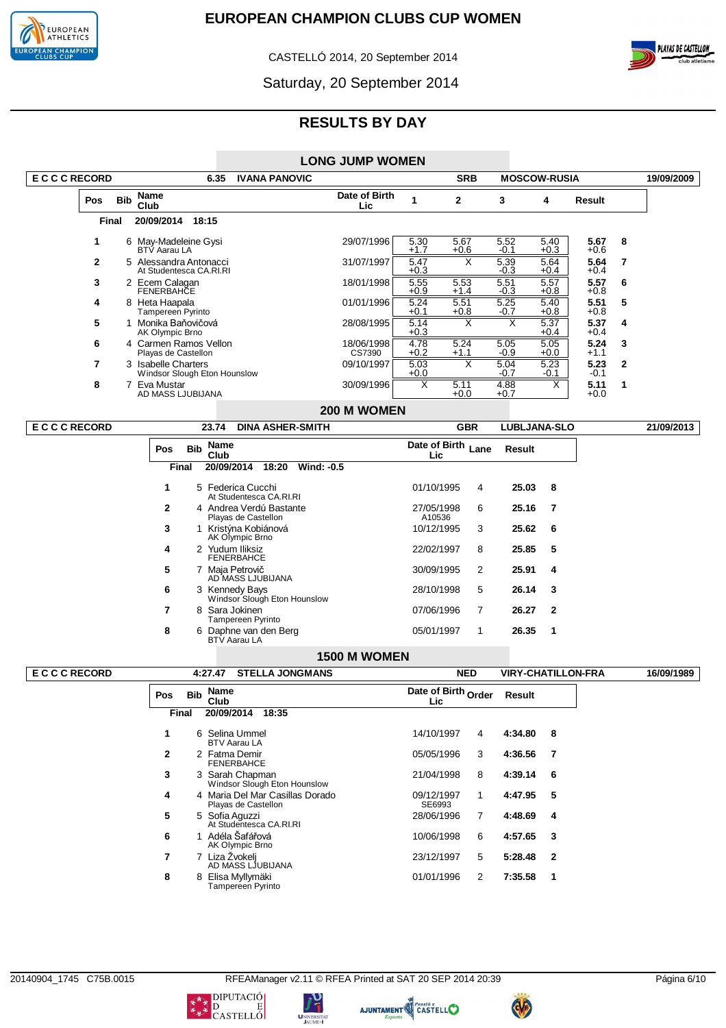

CASTELLÓ 2014, 20 September 2014



Saturday, 20 September 2014

# **RESULTS BY DAY**

| <b>LONG JUMP WOMEN</b> |  |
|------------------------|--|
|------------------------|--|

| <b>ECCCRECORD</b> |            | 6.35                                                | <b>IVANA PANOVIC</b> |                       |                | <b>SRB</b>     |                | <b>MOSCOW-RUSIA</b> |                |              | 19/09/2009 |
|-------------------|------------|-----------------------------------------------------|----------------------|-----------------------|----------------|----------------|----------------|---------------------|----------------|--------------|------------|
| <b>Pos</b>        | <b>Bib</b> | Name<br>Club                                        |                      | Date of Birth<br>Lic. |                | 2              | 3              | 4                   | Result         |              |            |
|                   | Final      | 20/09/2014<br>18:15                                 |                      |                       |                |                |                |                     |                |              |            |
|                   |            | 6 May-Madeleine Gysi<br><b>BTV Aarau LA</b>         |                      | 29/07/1996            | 5.30<br>$+1.7$ | 5.67<br>$+0.6$ | 5.52<br>$-0.1$ | 5.40<br>$+0.3$      | 5.67<br>$+0.6$ | 8            |            |
| 2                 |            | 5 Alessandra Antonacci<br>At Studentesca CA.RI.RI   |                      | 31/07/1997            | 5.47<br>$+0.3$ |                | 5.39<br>-0.3   | 5.64<br>$+0.4$      | 5.64<br>$+0.4$ |              |            |
| 3                 |            | 2 Ecem Calagan<br><b>FENERBAHCE</b>                 |                      | 18/01/1998            | 5.55<br>$+0.9$ | 5.53<br>$+1.4$ | 5.51<br>$-0.3$ | 5.57<br>$+0.8$      | 5.57<br>$+0.8$ | 6            |            |
| 4                 | 8          | Heta Haapala<br>Tampereen Pyrinto                   |                      | 01/01/1996            | 5.24<br>$+0.1$ | 5.51<br>$+0.8$ | 5.25<br>$-0.7$ | 5.40<br>$+0.8$      | 5.51<br>$+0.8$ | 5            |            |
| 5                 |            | Monika Baňovičová<br>AK Olympic Brno                |                      | 28/08/1995            | 5.14<br>$+0.3$ |                |                | 5.37<br>$+0.4$      | 5.37<br>$+0.4$ | 4            |            |
| 6                 |            | 4 Carmen Ramos Vellon<br>Playas de Castellon        |                      | 18/06/1998<br>CS7390  | 4.78<br>$+0.2$ | 5.24<br>$+1.1$ | 5.05<br>$-0.9$ | 5.05<br>$+0.0$      | 5.24<br>$+1.1$ | 3            |            |
| 7                 |            | 3 Isabelle Charters<br>Windsor Slough Eton Hounslow |                      | 09/10/1997            | 5.03<br>$+0.0$ |                | 5.04<br>$-0.7$ | 5.23<br>$-0.1$      | 5.23<br>$-0.1$ | $\mathbf{2}$ |            |
| 8                 |            | Eva Mustar<br>AD MASS LJUBIJANA                     |                      | 30/09/1996            | X              | 5.11<br>$+0.0$ | 4.88<br>$+0.7$ | х                   | 5.11<br>$+0.0$ |              |            |
|                   |            |                                                     |                      | 200 M WOMEN           |                |                |                |                     |                |              |            |

# **200 M WOMEN**

| E C C C RECORD | <b>DINA ASHER-SMITH</b><br>23.74                  | <b>GBR</b>                   | <b>LUBLJANA-SLO</b> | 21/09/2013 |
|----------------|---------------------------------------------------|------------------------------|---------------------|------------|
| <b>Pos</b>     | Name<br><b>Bib</b><br>Club                        | Date of Birth Lane<br>Lic.   | Result              |            |
|                | 20/09/2014<br><b>Wind: -0.5</b><br>18:20<br>Final |                              |                     |            |
|                | 5 Federica Cucchi<br>At Studentesca CA.RI.RI      | 01/10/1995<br>4              | 25.03<br>-8         |            |
| $\mathbf{2}$   | 4 Andrea Verdú Bastante<br>Playas de Castellon    | 6<br>27/05/1998<br>A10536    | 25.16 7             |            |
| 3              | Kristýna Kobiánová<br>AK Olympic Brno             | 3<br>10/12/1995              | 25.62 6             |            |
| 4              | 2 Yudum Iliksiz<br><b>FENERBAHCE</b>              | 8<br>22/02/1997              | 25.85<br>5          |            |
| 5              | 7 Maja Petrovič<br>AD MASS LJUBIJANA              | $\overline{2}$<br>30/09/1995 | 25.91<br>4          |            |
| 6              | 3 Kennedy Bays<br>Windsor Slough Eton Hounslow    | 5<br>28/10/1998              | 26.14<br>- 3        |            |
| 7              | 8 Sara Jokinen<br>Tampereen Pyrinto               | $\overline{7}$<br>07/06/1996 | 26.27 2             |            |
| 8              | 6 Daphne van den Berg<br><b>BTV Aarau LA</b>      | 05/01/1997<br>1              | 26.35<br>-1         |            |

## **1500 M WOMEN**

| <b>ECCCRECORD</b> |              |            | <b>STELLA JONGMANS</b><br>4:27.47                      |                             | <b>NED</b> | <b>VIRY-CHATILLON-FRA</b> | 16/09/1989              |  |
|-------------------|--------------|------------|--------------------------------------------------------|-----------------------------|------------|---------------------------|-------------------------|--|
|                   | Pos          | <b>Bib</b> | Name<br>Club                                           | Date of Birth Order<br>Lic. |            | <b>Result</b>             |                         |  |
|                   | Final        |            | 20/09/2014<br>18:35                                    |                             |            |                           |                         |  |
|                   |              |            | 6 Selina Ummel<br><b>BTV Aarau LA</b>                  | 14/10/1997                  | 4          | 4:34.80 8                 |                         |  |
|                   | $\mathbf{2}$ |            | 2 Fatma Demir<br><b>FENERBAHCE</b>                     | 05/05/1996                  | 3          | 4:36.56                   | - 7                     |  |
|                   | 3            |            | 3 Sarah Chapman<br>Windsor Slough Eton Hounslow        | 21/04/1998                  | 8          | 4:39.14                   | - 6                     |  |
|                   | 4            |            | 4 Maria Del Mar Casillas Dorado<br>Playas de Castellon | 09/12/1997<br>SE6993        | 1          | 4:47.95                   | -5                      |  |
|                   | 5            |            | 5 Sofia Aguzzi<br>At Studentesca CA.RI.RI              | 28/06/1996                  | 7          | 4:48.69                   | - 4                     |  |
|                   | 6            |            | Adéla Šafářová<br>AK Olympic Brno                      | 10/06/1998                  | 6          | 4:57.65                   | - 3                     |  |
|                   |              |            | Liza Žvokelj<br>AD MASS LJUBIJANA                      | 23/12/1997                  | 5          | 5:28.48                   | $\overline{\mathbf{2}}$ |  |
|                   | 8            | 8          | Elisa Myllymäki<br>Tampereen Pyrinto                   | 01/01/1996                  | 2          | 7:35.58                   | $\overline{\mathbf{1}}$ |  |





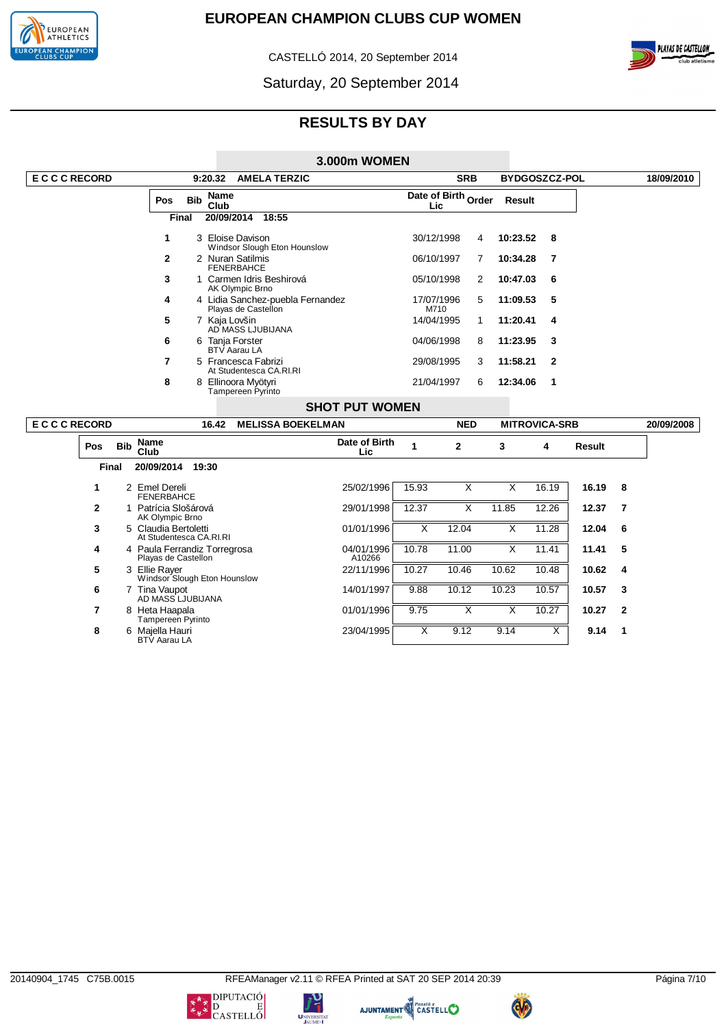

CASTELLÓ 2014, 20 September 2014



Saturday, 20 September 2014

# **RESULTS BY DAY**

|                   |            |                                                     |            |                            |                                                         | <b>3.000m WOMEN</b>   |                             |                         |                         |                         |                         |        |                          |            |
|-------------------|------------|-----------------------------------------------------|------------|----------------------------|---------------------------------------------------------|-----------------------|-----------------------------|-------------------------|-------------------------|-------------------------|-------------------------|--------|--------------------------|------------|
| <b>ECCCRECORD</b> |            |                                                     |            | 9:20.32                    | <b>AMELA TERZIC</b>                                     |                       |                             |                         | <b>SRB</b>              |                         | BYDGOSZCZ-POL           |        |                          | 18/09/2010 |
|                   |            | Pos<br>Final                                        | <b>Bib</b> | Name<br>Club<br>20/09/2014 | 18:55                                                   |                       |                             | Lic                     | Date of Birth Order     | Result                  |                         |        |                          |            |
|                   |            |                                                     |            |                            |                                                         |                       |                             |                         |                         |                         |                         |        |                          |            |
|                   |            | $\mathbf{1}$                                        |            |                            | 3 Eloise Davison<br>Windsor Slough Eton Hounslow        |                       |                             | 30/12/1998              | 4                       | 10:23.52                | 8                       |        |                          |            |
|                   |            | $\mathbf{2}$                                        |            |                            | 2 Nuran Satilmis<br><b>FENERBAHCE</b>                   |                       |                             | 06/10/1997              | 7                       | 10:34.28                | 7                       |        |                          |            |
|                   |            | 3                                                   |            |                            | 1 Carmen Idris Beshirová<br>AK Olympic Brno             |                       |                             | 05/10/1998              | $\overline{2}$          | 10:47.03                | 6                       |        |                          |            |
|                   |            | 4                                                   |            |                            | 4 Lidia Sanchez-puebla Fernandez<br>Playas de Castellon |                       |                             | 17/07/1996<br>M710      | 5                       | 11:09.53                | 5                       |        |                          |            |
|                   |            | 5                                                   |            |                            | 7 Kaia Lovšin<br>AD MASS LJUBIJANA                      |                       |                             | 14/04/1995              | $\mathbf{1}$            | 11:20.41                | 4                       |        |                          |            |
|                   |            | 6                                                   |            |                            | 6 Tania Forster<br><b>BTV</b> Aarau LA                  |                       |                             | 04/06/1998              | 8                       | 11:23.95                | 3                       |        |                          |            |
|                   |            | $\overline{7}$                                      |            |                            | 5 Francesca Fabrizi<br>At Studentesca CA.RI.RI          |                       |                             | 29/08/1995              | 3                       | 11:58.21                | $\mathbf{2}$            |        |                          |            |
|                   |            | 8                                                   |            |                            | 8 Ellinoora Mvötvri<br>Tampereen Pyrinto                |                       |                             | 21/04/1997              | 6                       | 12:34.06                | $\mathbf 1$             |        |                          |            |
|                   |            |                                                     |            |                            |                                                         | <b>SHOT PUT WOMEN</b> |                             |                         |                         |                         |                         |        |                          |            |
| <b>ECCCRECORD</b> |            |                                                     |            | 16.42                      | <b>MELISSA BOEKELMAN</b>                                |                       |                             |                         | <b>NED</b>              |                         | <b>MITROVICA-SRB</b>    |        |                          | 20/09/2008 |
| Pos               | <b>Bib</b> | <b>Name</b><br>Club                                 |            |                            |                                                         |                       | Date of Birth<br><b>Lic</b> | 1                       | $\mathbf{2}$            | 3                       | 4                       | Result |                          |            |
| <b>Final</b>      |            | 20/09/2014                                          |            | 19:30                      |                                                         |                       |                             |                         |                         |                         |                         |        |                          |            |
| 1                 |            | 2 Emel Dereli<br><b>FENERBAHCE</b>                  |            |                            |                                                         |                       | 25/02/1996                  | 15.93                   | $\overline{\mathsf{x}}$ | $\overline{\mathsf{x}}$ | 16.19                   | 16.19  | 8                        |            |
| $\overline{2}$    |            | 1 Patrícia Slošárová<br>AK Olympic Brno             |            |                            |                                                         |                       | 29/01/1998                  | 12.37                   | $\overline{\mathsf{x}}$ | 11.85                   | 12.26                   | 12.37  | $\overline{\phantom{a}}$ |            |
| 3                 |            | 5 Claudia Bertoletti<br>At Studentesca CA.RI.RI     |            |                            |                                                         |                       | 01/01/1996                  | $\overline{\mathsf{x}}$ | 12.04                   | X                       | 11.28                   | 12.04  | 6                        |            |
| 4                 |            | 4 Paula Ferrandiz Torregrosa<br>Playas de Castellon |            |                            |                                                         |                       | 04/01/1996<br>A10266        | 10.78                   | 11.00                   | $\overline{\mathsf{x}}$ | 11.41                   | 11.41  | 5                        |            |
| 5                 |            | 3 Ellie Rayer<br>Windsor Slough Eton Hounslow       |            |                            |                                                         |                       | 22/11/1996                  | 10.27                   | 10.46                   | 10.62                   | 10.48                   | 10.62  | 4                        |            |
| 6                 |            | 7 Tina Vaupot<br>AD MASS LJUBIJANA                  |            |                            |                                                         |                       | 14/01/1997                  | 9.88                    | 10.12                   | 10.23                   | 10.57                   | 10.57  | 3                        |            |
| $\overline{7}$    |            | 8 Heta Haapala<br>Tampereen Pyrinto                 |            |                            |                                                         |                       | 01/01/1996                  | 9.75                    | $\overline{\mathsf{x}}$ | $\overline{\mathsf{x}}$ | 10.27                   | 10.27  | $\mathbf{2}$             |            |
| 8                 |            | 6 Maiella Hauri<br><b>BTV Aarau LA</b>              |            |                            |                                                         |                       | 23/04/1995                  | $\overline{\mathsf{x}}$ | 9.12                    | 9.14                    | $\overline{\mathsf{x}}$ | 9.14   | 1                        |            |





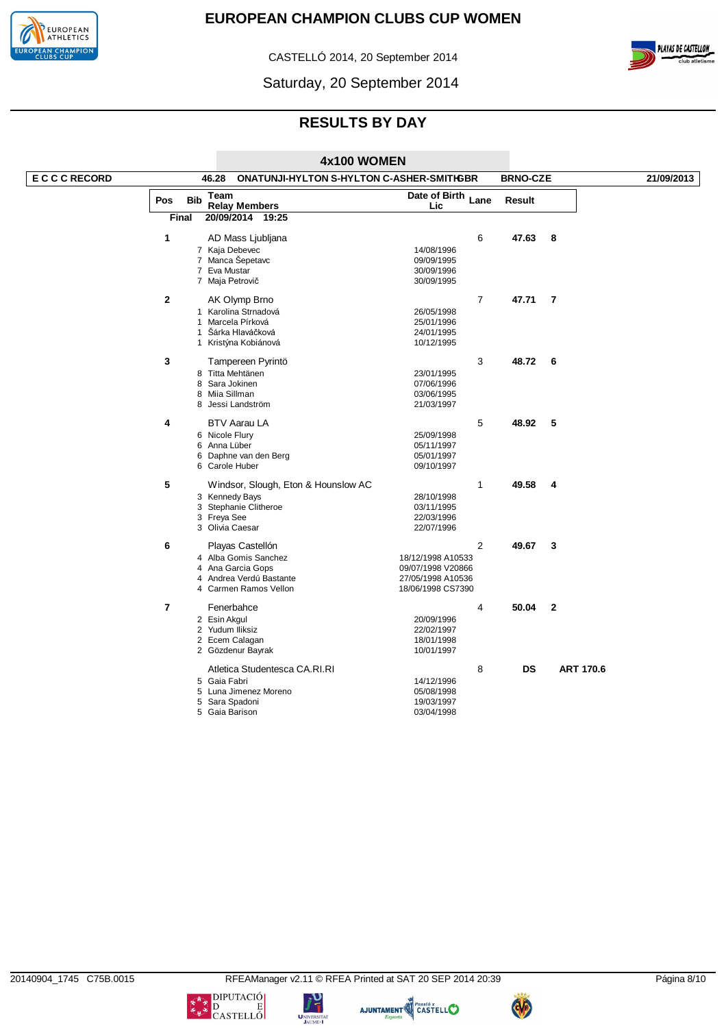

CASTELLÓ 2014, 20 September 2014



Saturday, 20 September 2014

# **RESULTS BY DAY**

|                   |                |            | 4x100 WOMEN                                               |                           |                 |                  |            |
|-------------------|----------------|------------|-----------------------------------------------------------|---------------------------|-----------------|------------------|------------|
| <b>ECCCRECORD</b> |                |            | <b>ONATUNJI-HYLTON S-HYLTON C-ASHER-SMITIGBR</b><br>46.28 |                           | <b>BRNO-CZE</b> |                  | 21/09/2013 |
|                   | Pos            | <b>Bib</b> | Team<br><b>Relay Members</b>                              | Date of Birth Lane<br>Lic | Result          |                  |            |
|                   | <b>Final</b>   |            | 20/09/2014 19:25                                          |                           |                 |                  |            |
|                   | 1              |            | AD Mass Ljubljana                                         | 6                         | 47.63           | 8                |            |
|                   |                |            | 7 Kaja Debevec                                            | 14/08/1996                |                 |                  |            |
|                   |                |            | 7 Manca Šepetavc                                          | 09/09/1995                |                 |                  |            |
|                   |                |            | 7 Eva Mustar                                              | 30/09/1996                |                 |                  |            |
|                   |                |            | 7 Maja Petrovič                                           | 30/09/1995                |                 |                  |            |
|                   | $\overline{2}$ |            | AK Olymp Brno                                             | $\overline{7}$            | 47.71           | 7                |            |
|                   |                |            | 1 Karolina Strnadová                                      | 26/05/1998                |                 |                  |            |
|                   |                |            | 1 Marcela Pírková                                         | 25/01/1996                |                 |                  |            |
|                   |                |            | 1 Šárka Hlaváčková                                        | 24/01/1995                |                 |                  |            |
|                   |                |            | 1 Kristýna Kobiánová                                      | 10/12/1995                |                 |                  |            |
|                   | 3              |            | Tampereen Pyrintö                                         | 3                         | 48.72           | 6                |            |
|                   |                |            | 8 Titta Mehtänen                                          | 23/01/1995                |                 |                  |            |
|                   |                |            | 8 Sara Jokinen                                            | 07/06/1996                |                 |                  |            |
|                   |                |            | 8 Miia Sillman                                            | 03/06/1995                |                 |                  |            |
|                   |                |            | 8 Jessi Landström                                         | 21/03/1997                |                 |                  |            |
|                   | 4              |            | <b>BTV Aarau LA</b>                                       | 5                         | 48.92           | 5                |            |
|                   |                |            | 6 Nicole Flury                                            | 25/09/1998                |                 |                  |            |
|                   |                |            | 6 Anna Lüber                                              | 05/11/1997                |                 |                  |            |
|                   |                |            | 6 Daphne van den Berg                                     | 05/01/1997                |                 |                  |            |
|                   |                |            | 6 Carole Huber                                            | 09/10/1997                |                 |                  |            |
|                   | 5              |            | Windsor, Slough, Eton & Hounslow AC                       | 1                         | 49.58           | 4                |            |
|                   |                |            | 3 Kennedy Bays                                            | 28/10/1998                |                 |                  |            |
|                   |                |            | 3 Stephanie Clitheroe                                     | 03/11/1995                |                 |                  |            |
|                   |                |            | 3 Freya See                                               | 22/03/1996                |                 |                  |            |
|                   |                |            | 3 Olivia Caesar                                           | 22/07/1996                |                 |                  |            |
|                   | 6              |            | Playas Castellón                                          | $\overline{2}$            | 49.67           | 3                |            |
|                   |                |            | 4 Alba Gomis Sanchez                                      | 18/12/1998 A10533         |                 |                  |            |
|                   |                |            | 4 Ana Garcia Gops                                         | 09/07/1998 V20866         |                 |                  |            |
|                   |                |            | 4 Andrea Verdú Bastante                                   | 27/05/1998 A10536         |                 |                  |            |
|                   |                |            | 4 Carmen Ramos Vellon                                     | 18/06/1998 CS7390         |                 |                  |            |
|                   | $\overline{7}$ |            | Fenerbahce                                                | 4                         | 50.04           | $\overline{2}$   |            |
|                   |                |            | 2 Esin Akgul                                              | 20/09/1996                |                 |                  |            |
|                   |                |            | 2 Yudum Iliksiz                                           | 22/02/1997                |                 |                  |            |
|                   |                |            | 2 Ecem Calagan                                            | 18/01/1998                |                 |                  |            |
|                   |                |            | 2 Gözdenur Bayrak                                         | 10/01/1997                |                 |                  |            |
|                   |                |            | Atletica Studentesca CA.RI.RI                             | 8                         | <b>DS</b>       | <b>ART 170.6</b> |            |
|                   |                |            | 5 Gaia Fabri                                              | 14/12/1996                |                 |                  |            |
|                   |                |            | 5 Luna Jimenez Moreno                                     | 05/08/1998                |                 |                  |            |
|                   |                |            | 5 Sara Spadoni                                            | 19/03/1997                |                 |                  |            |
|                   |                |            | 5 Gaia Barison                                            | 03/04/1998                |                 |                  |            |

UNIVERSIT

AJUNTAMENT CASTELLO

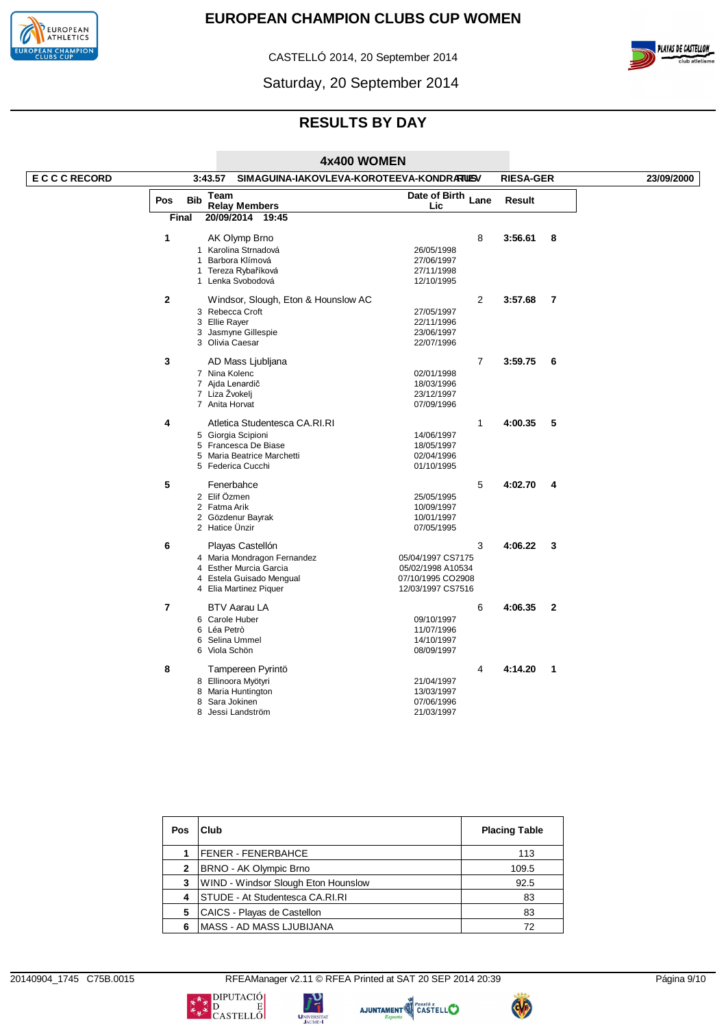

CASTELLÓ 2014, 20 September 2014



Saturday, 20 September 2014

# **RESULTS BY DAY**

|                   |                |              |                                                     | 4x400 WOMEN               |              |                  |              |            |
|-------------------|----------------|--------------|-----------------------------------------------------|---------------------------|--------------|------------------|--------------|------------|
| <b>ECCCRECORD</b> |                |              | 3:43.57<br>SIMAGUINA-IAKOVLEVA-KOROTEEVA-KONDRARUSV |                           |              | <b>RIESA-GER</b> |              | 23/09/2000 |
|                   | Pos            | <b>Bib</b>   | Team<br><b>Relay Members</b>                        | Date of Birth Lane<br>Lic |              | <b>Result</b>    |              |            |
|                   |                | Final        | 20/09/2014 19:45                                    |                           |              |                  |              |            |
|                   | $\mathbf{1}$   |              | AK Olymp Brno                                       |                           | 8            | 3:56.61          | 8            |            |
|                   |                |              | 1 Karolina Strnadová                                | 26/05/1998                |              |                  |              |            |
|                   |                | $\mathbf{1}$ | Barbora Klímová                                     | 27/06/1997                |              |                  |              |            |
|                   |                |              | 1 Tereza Rybaříková                                 | 27/11/1998                |              |                  |              |            |
|                   |                |              | 1 Lenka Svobodová                                   | 12/10/1995                |              |                  |              |            |
|                   | $\mathbf{2}$   |              | Windsor, Slough, Eton & Hounslow AC                 |                           | 2            | 3:57.68          | 7            |            |
|                   |                |              | 3 Rebecca Croft                                     | 27/05/1997                |              |                  |              |            |
|                   |                |              | 3 Ellie Rayer                                       | 22/11/1996                |              |                  |              |            |
|                   |                |              | 3 Jasmyne Gillespie                                 | 23/06/1997                |              |                  |              |            |
|                   |                |              | 3 Olivia Caesar                                     | 22/07/1996                |              |                  |              |            |
|                   | 3              |              | AD Mass Ljubljana                                   |                           | 7            | 3:59.75          | 6            |            |
|                   |                |              | 7 Nina Kolenc                                       | 02/01/1998                |              |                  |              |            |
|                   |                |              | 7 Ajda Lenardič                                     | 18/03/1996                |              |                  |              |            |
|                   |                |              | 7 Liza Żvokelj                                      | 23/12/1997                |              |                  |              |            |
|                   |                |              | 7 Anita Horvat                                      | 07/09/1996                |              |                  |              |            |
|                   | 4              |              | Atletica Studentesca CA.RI.RI                       |                           | $\mathbf{1}$ | 4:00.35          | 5            |            |
|                   |                |              | 5 Giorgia Scipioni                                  | 14/06/1997                |              |                  |              |            |
|                   |                |              | 5 Francesca De Biase                                | 18/05/1997                |              |                  |              |            |
|                   |                |              | 5 Maria Beatrice Marchetti                          | 02/04/1996                |              |                  |              |            |
|                   |                |              | 5 Federica Cucchi                                   | 01/10/1995                |              |                  |              |            |
|                   | 5              |              | Fenerbahce                                          |                           | 5            | 4:02.70          | 4            |            |
|                   |                |              | 2 Elif Özmen                                        | 25/05/1995                |              |                  |              |            |
|                   |                |              | 2 Fatma Arik                                        | 10/09/1997                |              |                  |              |            |
|                   |                |              | 2 Gözdenur Bayrak                                   | 10/01/1997                |              |                  |              |            |
|                   |                |              | 2 Hatice Unzir                                      | 07/05/1995                |              |                  |              |            |
|                   | 6              |              | Playas Castellón                                    |                           | 3            | 4:06.22          | 3            |            |
|                   |                |              | 4 Maria Mondragon Fernandez                         | 05/04/1997 CS7175         |              |                  |              |            |
|                   |                |              | 4 Esther Murcia Garcia                              | 05/02/1998 A10534         |              |                  |              |            |
|                   |                |              | 4 Estela Guisado Mengual                            | 07/10/1995 CO2908         |              |                  |              |            |
|                   |                |              | 4 Elia Martinez Piquer                              | 12/03/1997 CS7516         |              |                  |              |            |
|                   | $\overline{7}$ |              | <b>BTV Aarau LA</b>                                 |                           | 6            | 4:06.35          | $\mathbf{2}$ |            |
|                   |                |              | 6 Carole Huber                                      | 09/10/1997                |              |                  |              |            |
|                   |                |              | 6 Léa Petrò                                         | 11/07/1996                |              |                  |              |            |
|                   |                |              | 6 Selina Ummel                                      | 14/10/1997                |              |                  |              |            |
|                   |                |              | 6 Viola Schön                                       | 08/09/1997                |              |                  |              |            |
|                   | 8              |              | Tampereen Pyrintö                                   |                           | 4            | 4:14.20          | 1            |            |
|                   |                |              | 8 Ellinoora Myötyri                                 | 21/04/1997                |              |                  |              |            |
|                   |                |              | 8 Maria Huntington                                  | 13/03/1997                |              |                  |              |            |
|                   |                | 8            | Sara Jokinen                                        | 07/06/1996                |              |                  |              |            |
|                   |                |              | 8 Jessi Landström                                   | 21/03/1997                |              |                  |              |            |

| Pos | Club                                | <b>Placing Table</b> |
|-----|-------------------------------------|----------------------|
|     | <b>FENER - FENERBAHCE</b>           | 113                  |
| 2   | BRNO - AK Olympic Brno              | 109.5                |
| 3   | WIND - Windsor Slough Eton Hounslow | 92.5                 |
| 4   | STUDE - At Studentesca CA.RI.RI     | 83                   |
| 5   | CAICS - Playas de Castellon         | 83                   |
| 6   | <b>MASS - AD MASS LJUBIJANA</b>     | 72                   |

20140904\_1745 C75B.0015 RFEAManager v2.11 © RFEA Printed at SAT 20 SEP 2014 20:39 Página 9/10